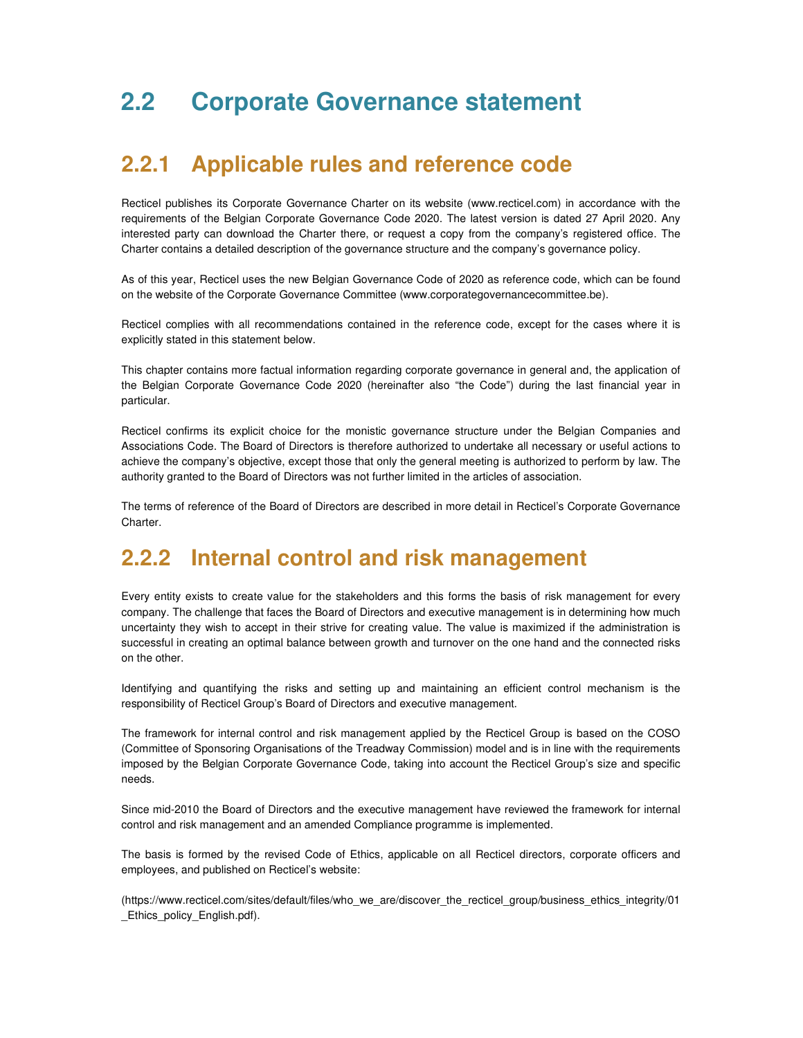# **2.2 Corporate Governance statement**

## **2.2.1 Applicable rules and reference code**

Recticel publishes its Corporate Governance Charter on its website (www.recticel.com) in accordance with the requirements of the Belgian Corporate Governance Code 2020. The latest version is dated 27 April 2020. Any interested party can download the Charter there, or request a copy from the company's registered office. The Charter contains a detailed description of the governance structure and the company's governance policy.

As of this year, Recticel uses the new Belgian Governance Code of 2020 as reference code, which can be found on the website of the Corporate Governance Committee (www.corporategovernancecommittee.be).

Recticel complies with all recommendations contained in the reference code, except for the cases where it is explicitly stated in this statement below.

This chapter contains more factual information regarding corporate governance in general and, the application of the Belgian Corporate Governance Code 2020 (hereinafter also "the Code") during the last financial year in particular.

Recticel confirms its explicit choice for the monistic governance structure under the Belgian Companies and Associations Code. The Board of Directors is therefore authorized to undertake all necessary or useful actions to achieve the company's objective, except those that only the general meeting is authorized to perform by law. The authority granted to the Board of Directors was not further limited in the articles of association.

The terms of reference of the Board of Directors are described in more detail in Recticel's Corporate Governance Charter.

# **2.2.2 Internal control and risk management**

Every entity exists to create value for the stakeholders and this forms the basis of risk management for every company. The challenge that faces the Board of Directors and executive management is in determining how much uncertainty they wish to accept in their strive for creating value. The value is maximized if the administration is successful in creating an optimal balance between growth and turnover on the one hand and the connected risks on the other.

Identifying and quantifying the risks and setting up and maintaining an efficient control mechanism is the responsibility of Recticel Group's Board of Directors and executive management.

The framework for internal control and risk management applied by the Recticel Group is based on the COSO (Committee of Sponsoring Organisations of the Treadway Commission) model and is in line with the requirements imposed by the Belgian Corporate Governance Code, taking into account the Recticel Group's size and specific needs.

Since mid-2010 the Board of Directors and the executive management have reviewed the framework for internal control and risk management and an amended Compliance programme is implemented.

The basis is formed by the revised Code of Ethics, applicable on all Recticel directors, corporate officers and employees, and published on Recticel's website:

(https://www.recticel.com/sites/default/files/who\_we\_are/discover\_the\_recticel\_group/business\_ethics\_integrity/01 \_Ethics\_policy\_English.pdf).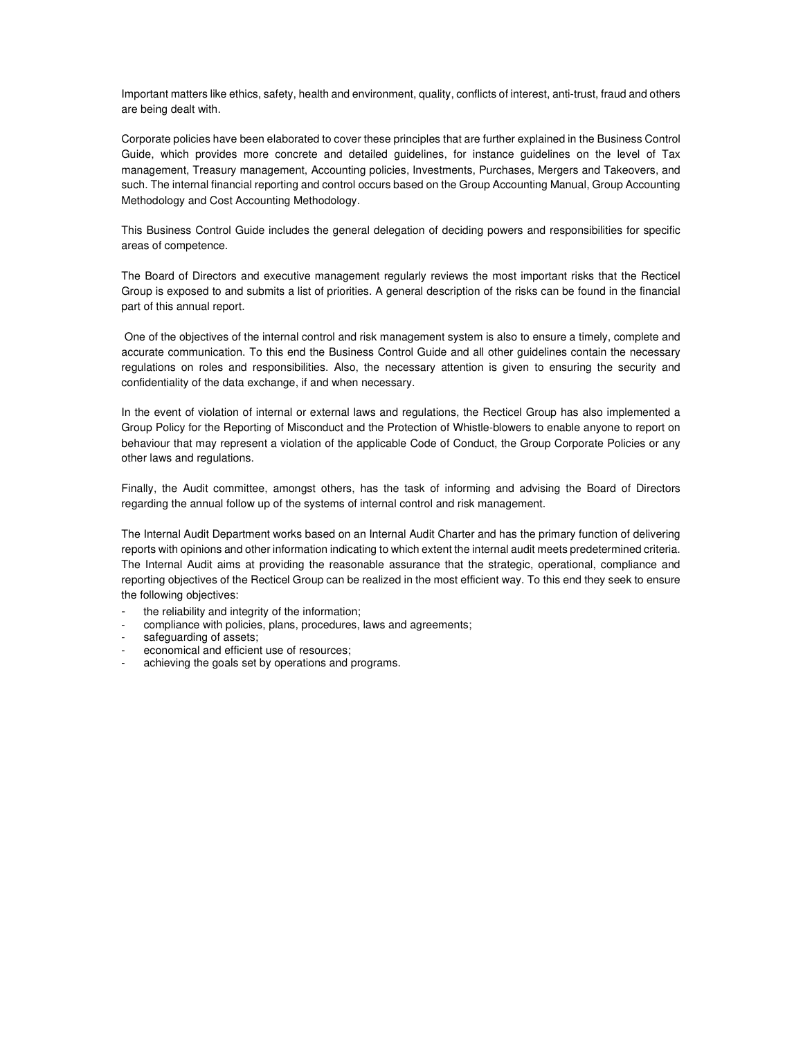Important matters like ethics, safety, health and environment, quality, conflicts of interest, anti-trust, fraud and others are being dealt with.

Corporate policies have been elaborated to cover these principles that are further explained in the Business Control Guide, which provides more concrete and detailed guidelines, for instance guidelines on the level of Tax management, Treasury management, Accounting policies, Investments, Purchases, Mergers and Takeovers, and such. The internal financial reporting and control occurs based on the Group Accounting Manual, Group Accounting Methodology and Cost Accounting Methodology.

This Business Control Guide includes the general delegation of deciding powers and responsibilities for specific areas of competence.

The Board of Directors and executive management regularly reviews the most important risks that the Recticel Group is exposed to and submits a list of priorities. A general description of the risks can be found in the financial part of this annual report.

 One of the objectives of the internal control and risk management system is also to ensure a timely, complete and accurate communication. To this end the Business Control Guide and all other guidelines contain the necessary regulations on roles and responsibilities. Also, the necessary attention is given to ensuring the security and confidentiality of the data exchange, if and when necessary.

In the event of violation of internal or external laws and regulations, the Recticel Group has also implemented a Group Policy for the Reporting of Misconduct and the Protection of Whistle-blowers to enable anyone to report on behaviour that may represent a violation of the applicable Code of Conduct, the Group Corporate Policies or any other laws and regulations.

Finally, the Audit committee, amongst others, has the task of informing and advising the Board of Directors regarding the annual follow up of the systems of internal control and risk management.

The Internal Audit Department works based on an Internal Audit Charter and has the primary function of delivering reports with opinions and other information indicating to which extent the internal audit meets predetermined criteria. The Internal Audit aims at providing the reasonable assurance that the strategic, operational, compliance and reporting objectives of the Recticel Group can be realized in the most efficient way. To this end they seek to ensure the following objectives:

- the reliability and integrity of the information;
- compliance with policies, plans, procedures, laws and agreements;
- safeguarding of assets;
- economical and efficient use of resources;
- achieving the goals set by operations and programs.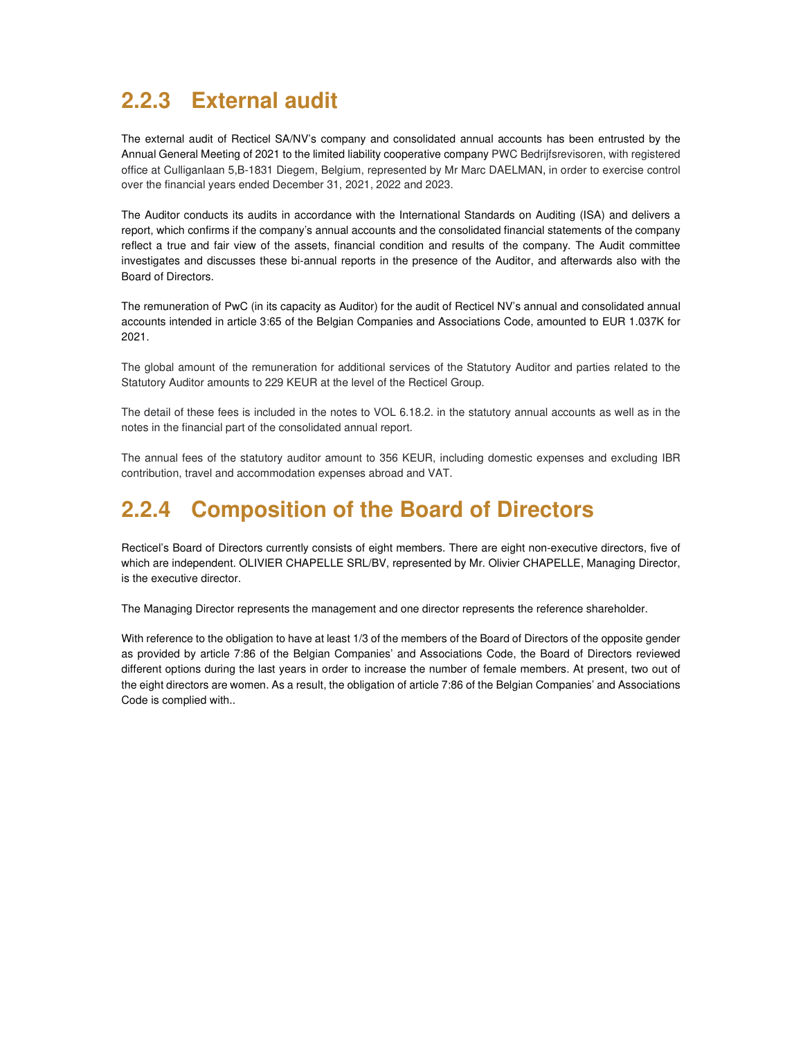# **2.2.3 External audit**

The external audit of Recticel SA/NV's company and consolidated annual accounts has been entrusted by the Annual General Meeting of 2021 to the limited liability cooperative company PWC Bedrijfsrevisoren, with registered office at Culliganlaan 5,B-1831 Diegem, Belgium, represented by Mr Marc DAELMAN, in order to exercise control over the financial years ended December 31, 2021, 2022 and 2023.

The Auditor conducts its audits in accordance with the International Standards on Auditing (ISA) and delivers a report, which confirms if the company's annual accounts and the consolidated financial statements of the company reflect a true and fair view of the assets, financial condition and results of the company. The Audit committee investigates and discusses these bi-annual reports in the presence of the Auditor, and afterwards also with the Board of Directors.

The remuneration of PwC (in its capacity as Auditor) for the audit of Recticel NV's annual and consolidated annual accounts intended in article 3:65 of the Belgian Companies and Associations Code, amounted to EUR 1.037K for 2021.

The global amount of the remuneration for additional services of the Statutory Auditor and parties related to the Statutory Auditor amounts to 229 KEUR at the level of the Recticel Group.

The detail of these fees is included in the notes to VOL 6.18.2. in the statutory annual accounts as well as in the notes in the financial part of the consolidated annual report.

The annual fees of the statutory auditor amount to 356 KEUR, including domestic expenses and excluding IBR contribution, travel and accommodation expenses abroad and VAT.

# **2.2.4 Composition of the Board of Directors**

Recticel's Board of Directors currently consists of eight members. There are eight non-executive directors, five of which are independent. OLIVIER CHAPELLE SRL/BV, represented by Mr. Olivier CHAPELLE, Managing Director, is the executive director.

The Managing Director represents the management and one director represents the reference shareholder.

With reference to the obligation to have at least 1/3 of the members of the Board of Directors of the opposite gender as provided by article 7:86 of the Belgian Companies' and Associations Code, the Board of Directors reviewed different options during the last years in order to increase the number of female members. At present, two out of the eight directors are women. As a result, the obligation of article 7:86 of the Belgian Companies' and Associations Code is complied with..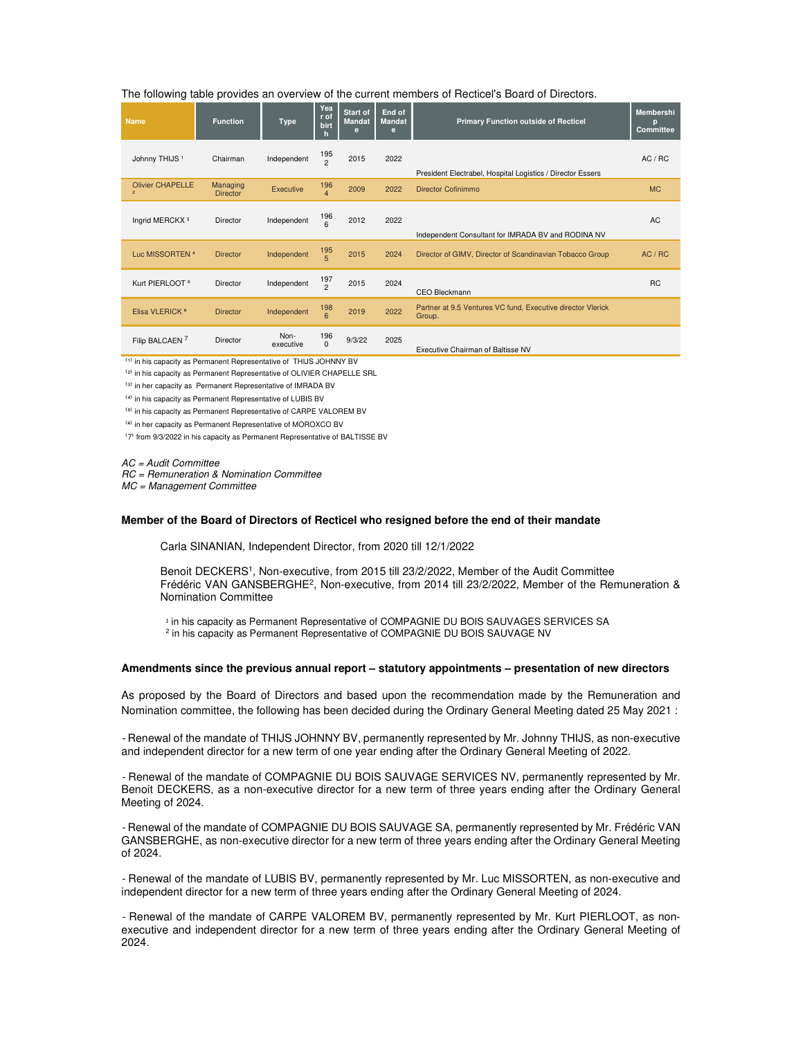#### The following table provides an overview of the current members of Recticel's Board of Directors.

| <b>Name</b>                               | <b>Function</b>             | <b>Type</b>       | Yea<br>r of<br>birt<br>h | Start of<br><b>Mandat</b><br>e | End of<br><b>Mandat</b><br>e | <b>Primary Function outside of Recticel</b>                           | <b>Membershi</b><br>p<br><b>Committee</b> |
|-------------------------------------------|-----------------------------|-------------------|--------------------------|--------------------------------|------------------------------|-----------------------------------------------------------------------|-------------------------------------------|
| Johnny THIJS <sup>1</sup>                 | Chairman                    | Independent       | 195<br>$\mathfrak{p}$    | 2015                           | 2022                         | President Electrabel, Hospital Logistics / Director Essers            | AC / RC                                   |
| <b>Olivier CHAPELLE</b><br>$\overline{2}$ | Managing<br><b>Director</b> | Executive         | 196<br>$\overline{4}$    | 2009                           | 2022                         | Director Cofinimmo                                                    | <b>MC</b>                                 |
| Ingrid MERCKX <sup>3</sup>                | Director                    | Independent       | 196<br>6                 | 2012                           | 2022                         | Independent Consultant for IMRADA BV and RODINA NV                    | <b>AC</b>                                 |
| Luc MISSORTEN <sup>4</sup>                | <b>Director</b>             | Independent       | 195<br>$\overline{5}$    | 2015                           | 2024                         | Director of GIMV, Director of Scandinavian Tobacco Group              | AC / RC                                   |
| Kurt PIERLOOT <sup>5</sup>                | Director                    | Independent       | $\frac{197}{2}$          | 2015                           | 2024                         | CEO Bleckmann                                                         | <b>RC</b>                                 |
| Elisa VLERICK <sup>6</sup>                | <b>Director</b>             | Independent       | 198<br>$\overline{6}$    | 2019                           | 2022                         | Partner at 9.5 Ventures VC fund, Executive director Vlerick<br>Group. |                                           |
| Filip BALCAEN <sup>7</sup>                | Director                    | Non-<br>executive | 196<br>$\Omega$          | 9/3/22                         | 2025                         | Executive Chairman of Baltisse NV                                     |                                           |

(1) in his capacity as Permanent Representative of THIJS JOHNNY BV

<sup>(2)</sup> in his capacity as Permanent Representative of OLIVIER CHAPELLE SRL

(3) in her capacity as Permanent Representative of IMRADA BV

⁽⁴⁾ in his capacity as Permanent Representative of LUBIS BV

⁽⁵⁾ in his capacity as Permanent Representative of CARPE VALOREM BV

<sup>(6)</sup> in her capacity as Permanent Representative of MOROXCO BV

⁽7⁾ from 9/3/2022 in his capacity as Permanent Representative of BALTISSE BV

AC = Audit Committee

RC = Remuneration & Nomination Committee

MC = Management Committee

#### **Member of the Board of Directors of Recticel who resigned before the end of their mandate**

Carla SINANIAN, Independent Director, from 2020 till 12/1/2022

Benoit DECKERS<sup>1</sup>, Non-executive, from 2015 till 23/2/2022, Member of the Audit Committee Frédéric VAN GANSBERGHE<sup>2</sup> , Non-executive, from 2014 till 23/2/2022, Member of the Remuneration & Nomination Committee

1 in his capacity as Permanent Representative of COMPAGNIE DU BOIS SAUVAGES SERVICES SA 2 in his capacity as Permanent Representative of COMPAGNIE DU BOIS SAUVAGE NV

#### **Amendments since the previous annual report – statutory appointments – presentation of new directors**

As proposed by the Board of Directors and based upon the recommendation made by the Remuneration and Nomination committee, the following has been decided during the Ordinary General Meeting dated 25 May 2021 :

- Renewal of the mandate of THIJS JOHNNY BV, permanently represented by Mr. Johnny THIJS, as non-executive and independent director for a new term of one year ending after the Ordinary General Meeting of 2022.

- Renewal of the mandate of COMPAGNIE DU BOIS SAUVAGE SERVICES NV, permanently represented by Mr. Benoit DECKERS, as a non-executive director for a new term of three years ending after the Ordinary General Meeting of 2024.

- Renewal of the mandate of COMPAGNIE DU BOIS SAUVAGE SA, permanently represented by Mr. Frédéric VAN GANSBERGHE, as non-executive director for a new term of three years ending after the Ordinary General Meeting of 2024.

- Renewal of the mandate of LUBIS BV, permanently represented by Mr. Luc MISSORTEN, as non-executive and independent director for a new term of three years ending after the Ordinary General Meeting of 2024.

- Renewal of the mandate of CARPE VALOREM BV, permanently represented by Mr. Kurt PIERLOOT, as nonexecutive and independent director for a new term of three years ending after the Ordinary General Meeting of 2024.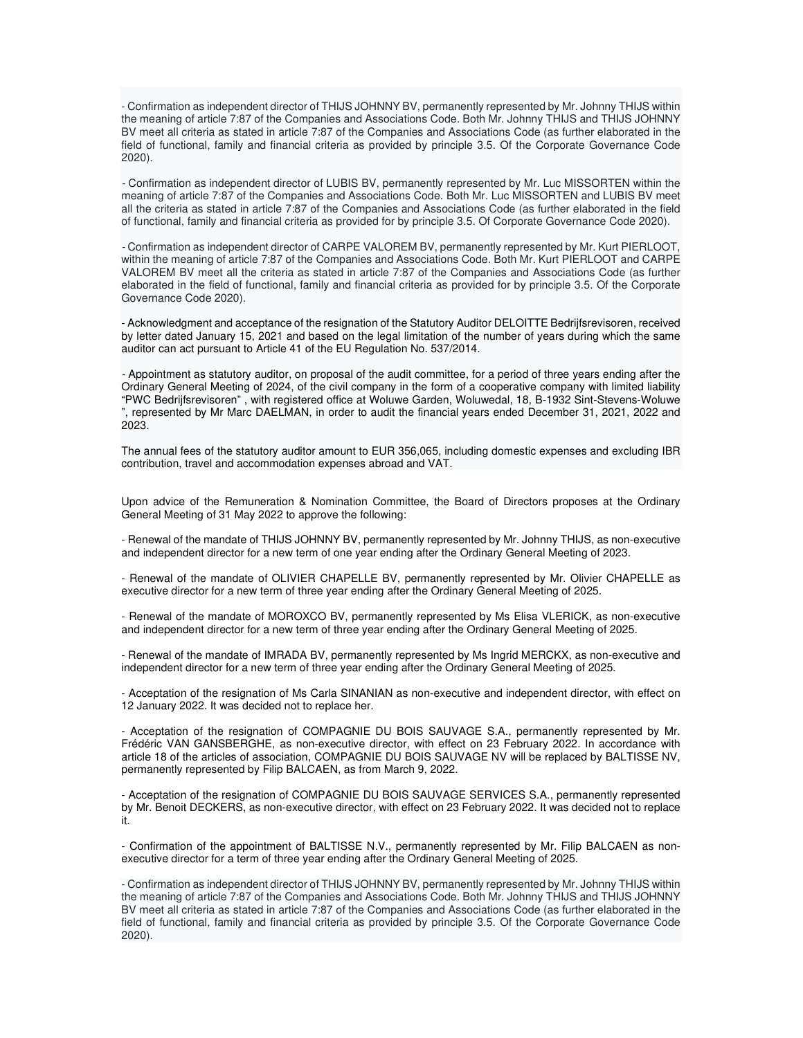- Confirmation as independent director of THIJS JOHNNY BV, permanently represented by Mr. Johnny THIJS within the meaning of article 7:87 of the Companies and Associations Code. Both Mr. Johnny THIJS and THIJS JOHNNY BV meet all criteria as stated in article 7:87 of the Companies and Associations Code (as further elaborated in the field of functional, family and financial criteria as provided by principle 3.5. Of the Corporate Governance Code 2020).

- Confirmation as independent director of LUBIS BV, permanently represented by Mr. Luc MISSORTEN within the meaning of article 7:87 of the Companies and Associations Code. Both Mr. Luc MISSORTEN and LUBIS BV meet all the criteria as stated in article 7:87 of the Companies and Associations Code (as further elaborated in the field of functional, family and financial criteria as provided for by principle 3.5. Of Corporate Governance Code 2020).

- Confirmation as independent director of CARPE VALOREM BV, permanently represented by Mr. Kurt PIERLOOT, within the meaning of article 7:87 of the Companies and Associations Code. Both Mr. Kurt PIERLOOT and CARPE VALOREM BV meet all the criteria as stated in article 7:87 of the Companies and Associations Code (as further elaborated in the field of functional, family and financial criteria as provided for by principle 3.5. Of the Corporate Governance Code 2020).

- Acknowledgment and acceptance of the resignation of the Statutory Auditor DELOITTE Bedrijfsrevisoren, received by letter dated January 15, 2021 and based on the legal limitation of the number of years during which the same auditor can act pursuant to Article 41 of the EU Regulation No. 537/2014.

- Appointment as statutory auditor, on proposal of the audit committee, for a period of three years ending after the Ordinary General Meeting of 2024, of the civil company in the form of a cooperative company with limited liability "PWC Bedrijfsrevisoren" , with registered office at Woluwe Garden, Woluwedal, 18, B-1932 Sint-Stevens-Woluwe ", represented by Mr Marc DAELMAN, in order to audit the financial years ended December 31, 2021, 2022 and 2023.

The annual fees of the statutory auditor amount to EUR 356,065, including domestic expenses and excluding IBR contribution, travel and accommodation expenses abroad and VAT.

Upon advice of the Remuneration & Nomination Committee, the Board of Directors proposes at the Ordinary General Meeting of 31 May 2022 to approve the following:

- Renewal of the mandate of THIJS JOHNNY BV, permanently represented by Mr. Johnny THIJS, as non-executive and independent director for a new term of one year ending after the Ordinary General Meeting of 2023.

- Renewal of the mandate of OLIVIER CHAPELLE BV, permanently represented by Mr. Olivier CHAPELLE as executive director for a new term of three year ending after the Ordinary General Meeting of 2025.

- Renewal of the mandate of MOROXCO BV, permanently represented by Ms Elisa VLERICK, as non-executive and independent director for a new term of three year ending after the Ordinary General Meeting of 2025.

- Renewal of the mandate of IMRADA BV, permanently represented by Ms Ingrid MERCKX, as non-executive and independent director for a new term of three year ending after the Ordinary General Meeting of 2025.

- Acceptation of the resignation of Ms Carla SINANIAN as non-executive and independent director, with effect on 12 January 2022. It was decided not to replace her.

- Acceptation of the resignation of COMPAGNIE DU BOIS SAUVAGE S.A., permanently represented by Mr. Frédéric VAN GANSBERGHE, as non-executive director, with effect on 23 February 2022. In accordance with article 18 of the articles of association, COMPAGNIE DU BOIS SAUVAGE NV will be replaced by BALTISSE NV, permanently represented by Filip BALCAEN, as from March 9, 2022.

- Acceptation of the resignation of COMPAGNIE DU BOIS SAUVAGE SERVICES S.A., permanently represented by Mr. Benoit DECKERS, as non-executive director, with effect on 23 February 2022. It was decided not to replace it.

- Confirmation of the appointment of BALTISSE N.V., permanently represented by Mr. Filip BALCAEN as nonexecutive director for a term of three year ending after the Ordinary General Meeting of 2025.

- Confirmation as independent director of THIJS JOHNNY BV, permanently represented by Mr. Johnny THIJS within the meaning of article 7:87 of the Companies and Associations Code. Both Mr. Johnny THIJS and THIJS JOHNNY BV meet all criteria as stated in article 7:87 of the Companies and Associations Code (as further elaborated in the field of functional, family and financial criteria as provided by principle 3.5. Of the Corporate Governance Code 2020).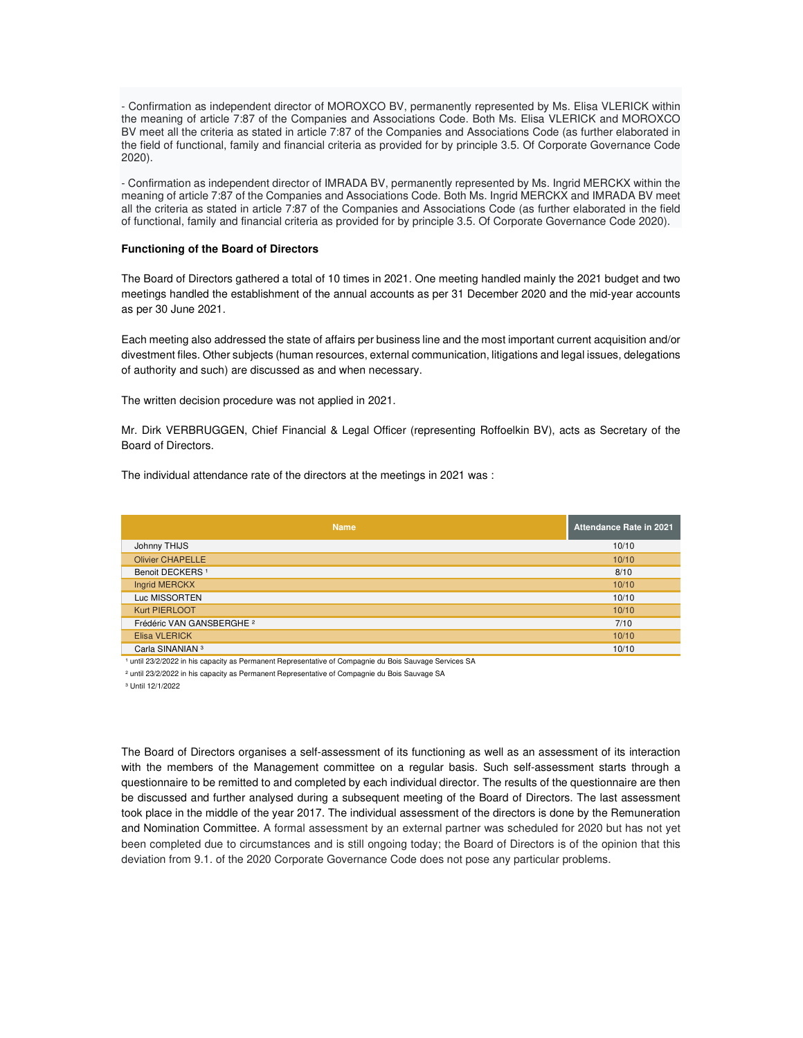- Confirmation as independent director of MOROXCO BV, permanently represented by Ms. Elisa VLERICK within the meaning of article 7:87 of the Companies and Associations Code. Both Ms. Elisa VLERICK and MOROXCO BV meet all the criteria as stated in article 7:87 of the Companies and Associations Code (as further elaborated in the field of functional, family and financial criteria as provided for by principle 3.5. Of Corporate Governance Code 2020).

- Confirmation as independent director of IMRADA BV, permanently represented by Ms. Ingrid MERCKX within the meaning of article 7:87 of the Companies and Associations Code. Both Ms. Ingrid MERCKX and IMRADA BV meet all the criteria as stated in article 7:87 of the Companies and Associations Code (as further elaborated in the field of functional, family and financial criteria as provided for by principle 3.5. Of Corporate Governance Code 2020).

#### **Functioning of the Board of Directors**

The Board of Directors gathered a total of 10 times in 2021. One meeting handled mainly the 2021 budget and two meetings handled the establishment of the annual accounts as per 31 December 2020 and the mid-year accounts as per 30 June 2021.

Each meeting also addressed the state of affairs per business line and the most important current acquisition and/or divestment files. Other subjects (human resources, external communication, litigations and legal issues, delegations of authority and such) are discussed as and when necessary.

The written decision procedure was not applied in 2021.

Mr. Dirk VERBRUGGEN, Chief Financial & Legal Officer (representing Roffoelkin BV), acts as Secretary of the Board of Directors.

The individual attendance rate of the directors at the meetings in 2021 was :

| <b>Name</b>                          | <b>Attendance Rate in 2021</b> |
|--------------------------------------|--------------------------------|
| Johnny THIJS                         | 10/10                          |
| <b>Olivier CHAPELLE</b>              | 10/10                          |
| Benoit DECKERS <sup>1</sup>          | 8/10                           |
| Ingrid MERCKX                        | 10/10                          |
| Luc MISSORTEN                        | 10/10                          |
| Kurt PIERLOOT                        | 10/10                          |
| Frédéric VAN GANSBERGHE <sup>2</sup> | 7/10                           |
| Elisa VLERICK                        | 10/10                          |
| Carla SINANIAN <sup>3</sup>          | 10/10                          |

1 until 23/2/2022 in his capacity as Permanent Representative of Compagnie du Bois Sauvage Services SA

<sup>2</sup> until 23/2/2022 in his capacity as Permanent Representative of Compagnie du Bois Sauvage SA

³ Until 12/1/2022

The Board of Directors organises a self-assessment of its functioning as well as an assessment of its interaction with the members of the Management committee on a regular basis. Such self-assessment starts through a questionnaire to be remitted to and completed by each individual director. The results of the questionnaire are then be discussed and further analysed during a subsequent meeting of the Board of Directors. The last assessment took place in the middle of the year 2017. The individual assessment of the directors is done by the Remuneration and Nomination Committee. A formal assessment by an external partner was scheduled for 2020 but has not yet been completed due to circumstances and is still ongoing today; the Board of Directors is of the opinion that this deviation from 9.1. of the 2020 Corporate Governance Code does not pose any particular problems.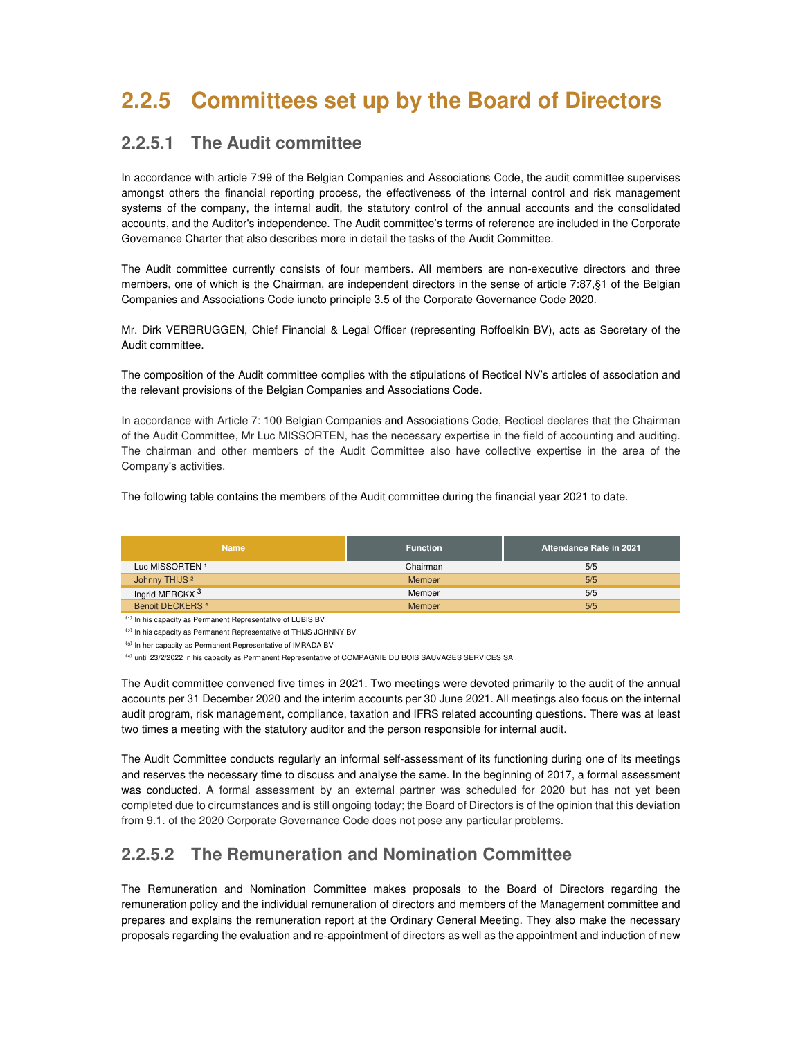# **2.2.5 Committees set up by the Board of Directors**

### **2.2.5.1 The Audit committee**

In accordance with article 7:99 of the Belgian Companies and Associations Code, the audit committee supervises amongst others the financial reporting process, the effectiveness of the internal control and risk management systems of the company, the internal audit, the statutory control of the annual accounts and the consolidated accounts, and the Auditor's independence. The Audit committee's terms of reference are included in the Corporate Governance Charter that also describes more in detail the tasks of the Audit Committee.

The Audit committee currently consists of four members. All members are non-executive directors and three members, one of which is the Chairman, are independent directors in the sense of article 7:87,§1 of the Belgian Companies and Associations Code iuncto principle 3.5 of the Corporate Governance Code 2020.

Mr. Dirk VERBRUGGEN, Chief Financial & Legal Officer (representing Roffoelkin BV), acts as Secretary of the Audit committee.

The composition of the Audit committee complies with the stipulations of Recticel NV's articles of association and the relevant provisions of the Belgian Companies and Associations Code.

In accordance with Article 7: 100 Belgian Companies and Associations Code, Recticel declares that the Chairman of the Audit Committee, Mr Luc MISSORTEN, has the necessary expertise in the field of accounting and auditing. The chairman and other members of the Audit Committee also have collective expertise in the area of the Company's activities.

The following table contains the members of the Audit committee during the financial year 2021 to date.

| <b>Name</b>                | <b>Function</b> | <b>Attendance Rate in 2021</b> |
|----------------------------|-----------------|--------------------------------|
| Luc MISSORTEN <sup>1</sup> | Chairman        | 5/5                            |
| Johnny THIJS <sup>2</sup>  | Member          | 5/5                            |
| Inarid MERCKX <sup>3</sup> | Member          | 5/5                            |
| <b>Benoit DECKERS 4</b>    | Member          | 5/5                            |

(1) In his capacity as Permanent Representative of LUBIS BV

<sup>(2)</sup> In his capacity as Permanent Representative of THIJS JOHNNY BV

(3) In her capacity as Permanent Representative of IMRADA BV

<sup>(4)</sup> until 23/2/2022 in his capacity as Permanent Representative of COMPAGNIE DU BOIS SAUVAGES SERVICES SA

The Audit committee convened five times in 2021. Two meetings were devoted primarily to the audit of the annual accounts per 31 December 2020 and the interim accounts per 30 June 2021. All meetings also focus on the internal audit program, risk management, compliance, taxation and IFRS related accounting questions. There was at least two times a meeting with the statutory auditor and the person responsible for internal audit.

The Audit Committee conducts regularly an informal self-assessment of its functioning during one of its meetings and reserves the necessary time to discuss and analyse the same. In the beginning of 2017, a formal assessment was conducted. A formal assessment by an external partner was scheduled for 2020 but has not yet been completed due to circumstances and is still ongoing today; the Board of Directors is of the opinion that this deviation from 9.1. of the 2020 Corporate Governance Code does not pose any particular problems.

## **2.2.5.2 The Remuneration and Nomination Committee**

The Remuneration and Nomination Committee makes proposals to the Board of Directors regarding the remuneration policy and the individual remuneration of directors and members of the Management committee and prepares and explains the remuneration report at the Ordinary General Meeting. They also make the necessary proposals regarding the evaluation and re-appointment of directors as well as the appointment and induction of new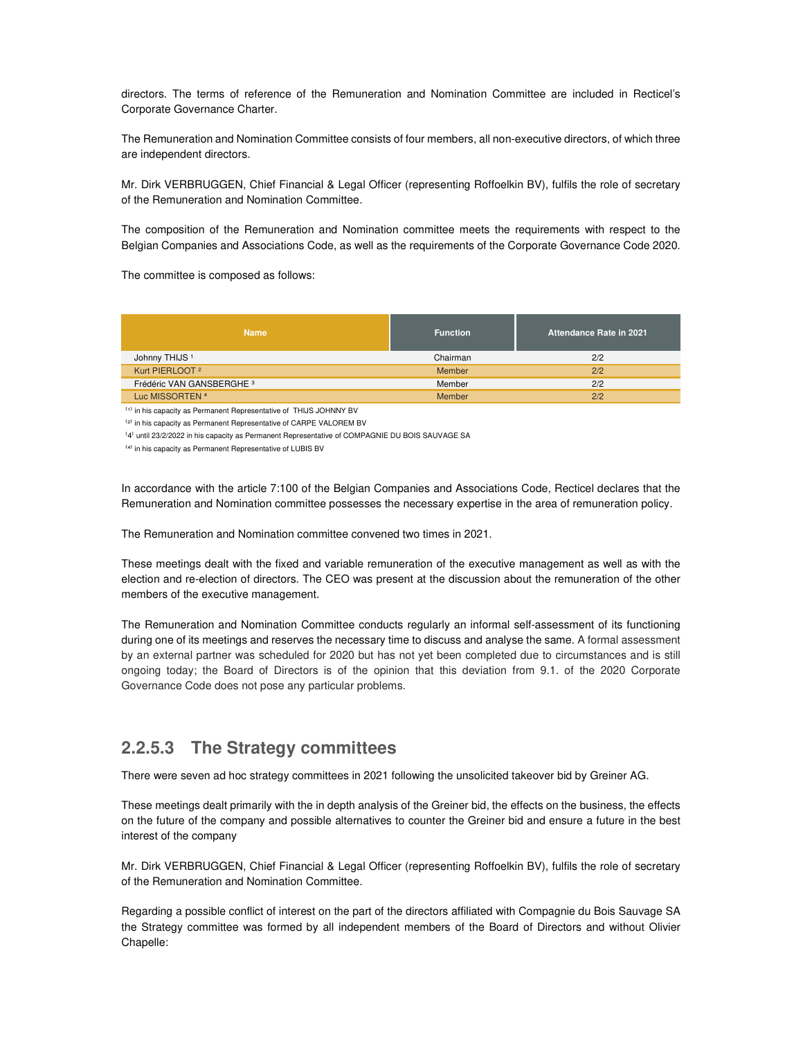directors. The terms of reference of the Remuneration and Nomination Committee are included in Recticel's Corporate Governance Charter.

The Remuneration and Nomination Committee consists of four members, all non-executive directors, of which three are independent directors.

Mr. Dirk VERBRUGGEN, Chief Financial & Legal Officer (representing Roffoelkin BV), fulfils the role of secretary of the Remuneration and Nomination Committee.

The composition of the Remuneration and Nomination committee meets the requirements with respect to the Belgian Companies and Associations Code, as well as the requirements of the Corporate Governance Code 2020.

The committee is composed as follows:

| <b>Name</b>                          | <b>Function</b> | Attendance Rate in 2021 |
|--------------------------------------|-----------------|-------------------------|
| Johnny THIJS <sup>1</sup>            | Chairman        | 2/2                     |
| Kurt PIERLOOT <sup>2</sup>           | Member          | 2/2                     |
| Frédéric VAN GANSBERGHE <sup>3</sup> | Member          | 2/2                     |
| Luc MISSORTEN <sup>4</sup>           | Member          | 2/2                     |

 $\overset{\text{\tiny{(1)}}}{ }$  in his capacity as Permanent Representative of THIJS JOHNNY BV

<sup>(2)</sup> in his capacity as Permanent Representative of CARPE VALOREM BV

<sup>(4)</sup> until 23/2/2022 in his capacity as Permanent Representative of COMPAGNIE DU BOIS SAUVAGE SA

⁽⁴⁾ in his capacity as Permanent Representative of LUBIS BV

In accordance with the article 7:100 of the Belgian Companies and Associations Code, Recticel declares that the Remuneration and Nomination committee possesses the necessary expertise in the area of remuneration policy.

The Remuneration and Nomination committee convened two times in 2021.

These meetings dealt with the fixed and variable remuneration of the executive management as well as with the election and re-election of directors. The CEO was present at the discussion about the remuneration of the other members of the executive management.

The Remuneration and Nomination Committee conducts regularly an informal self-assessment of its functioning during one of its meetings and reserves the necessary time to discuss and analyse the same. A formal assessment by an external partner was scheduled for 2020 but has not yet been completed due to circumstances and is still ongoing today; the Board of Directors is of the opinion that this deviation from 9.1. of the 2020 Corporate Governance Code does not pose any particular problems.

### **2.2.5.3 The Strategy committees**

There were seven ad hoc strategy committees in 2021 following the unsolicited takeover bid by Greiner AG.

These meetings dealt primarily with the in depth analysis of the Greiner bid, the effects on the business, the effects on the future of the company and possible alternatives to counter the Greiner bid and ensure a future in the best interest of the company

Mr. Dirk VERBRUGGEN, Chief Financial & Legal Officer (representing Roffoelkin BV), fulfils the role of secretary of the Remuneration and Nomination Committee.

Regarding a possible conflict of interest on the part of the directors affiliated with Compagnie du Bois Sauvage SA the Strategy committee was formed by all independent members of the Board of Directors and without Olivier Chapelle: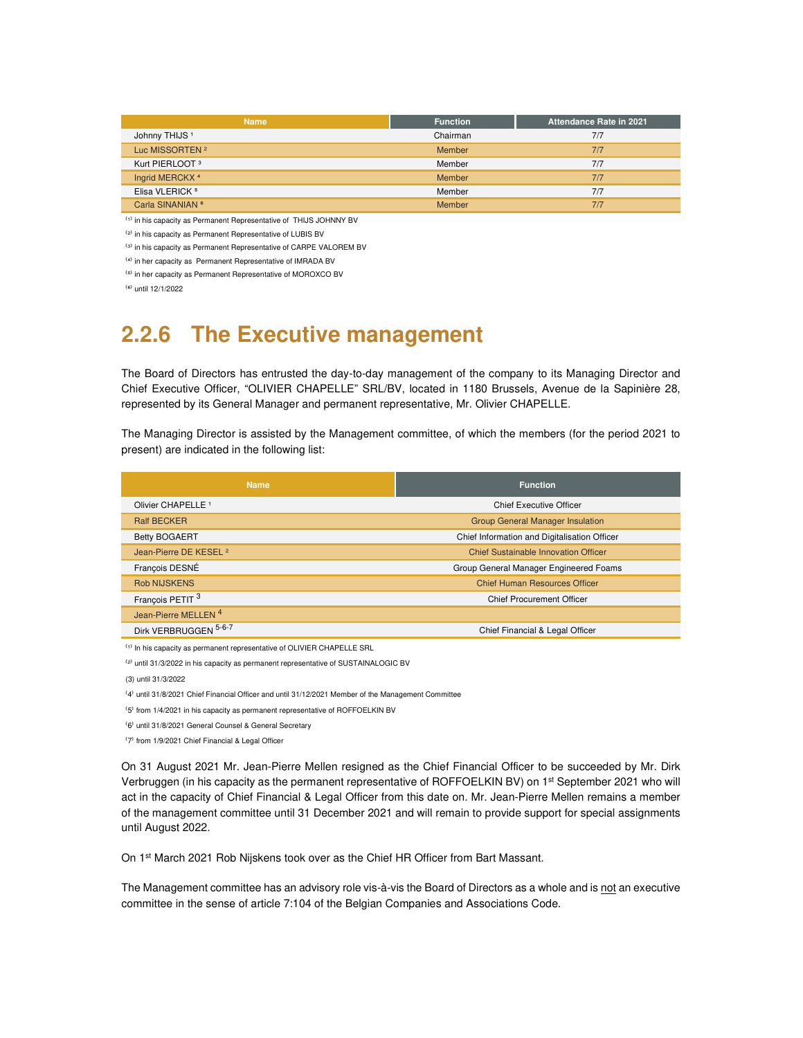| <b>Name</b>                 | <b>Function</b> | Attendance Rate in 2021 |
|-----------------------------|-----------------|-------------------------|
| Johnny THIJS <sup>1</sup>   | Chairman        | 7/7                     |
| Luc MISSORTEN <sup>2</sup>  | Member          | 7/7                     |
| Kurt PIERLOOT <sup>3</sup>  | Member          | 7/7                     |
| Ingrid MERCKX <sup>4</sup>  | Member          | 7/7                     |
| Elisa VLERICK <sup>5</sup>  | Member          | 7/7                     |
| Carla SINANIAN <sup>6</sup> | Member          | 7/7                     |

 $^{(1)}$  in his capacity as Permanent Representative of THIJS JOHNNY BV

<sup>(2)</sup> in his capacity as Permanent Representative of LUBIS BV

 $<sup>(3)</sup>$  in his capacity as Permanent Representative of CARPE VALOREM BV</sup>

⁽⁴⁾ in her capacity as Permanent Representative of IMRADA BV

⁽⁵⁾ in her capacity as Permanent Representative of MOROXCO BV

⁽⁶⁾ until 12/1/2022

## **2.2.6 The Executive management**

The Board of Directors has entrusted the day-to-day management of the company to its Managing Director and Chief Executive Officer, "OLIVIER CHAPELLE" SRL/BV, located in 1180 Brussels, Avenue de la Sapinière 28, represented by its General Manager and permanent representative, Mr. Olivier CHAPELLE.

The Managing Director is assisted by the Management committee, of which the members (for the period 2021 to present) are indicated in the following list:

| <b>Name</b>                       | <b>Function</b>                              |  |  |
|-----------------------------------|----------------------------------------------|--|--|
| Olivier CHAPELLE <sup>1</sup>     | <b>Chief Executive Officer</b>               |  |  |
| <b>Ralf BECKER</b>                | <b>Group General Manager Insulation</b>      |  |  |
| <b>Betty BOGAERT</b>              | Chief Information and Digitalisation Officer |  |  |
| Jean-Pierre DE KESEL <sup>2</sup> | Chief Sustainable Innovation Officer         |  |  |
| Francois DESNÉ                    | Group General Manager Engineered Foams       |  |  |
| <b>Rob NIJSKENS</b>               | <b>Chief Human Resources Officer</b>         |  |  |
| François PETIT <sup>3</sup>       | <b>Chief Procurement Officer</b>             |  |  |
| Jean-Pierre MELLEN <sup>4</sup>   |                                              |  |  |
| Dirk VERBRUGGEN 5-6-7             | Chief Financial & Legal Officer              |  |  |

(1) In his capacity as permanent representative of OLIVIER CHAPELLE SRL

<sup>(2)</sup> until 31/3/2022 in his capacity as permanent representative of SUSTAINALOGIC BV

(3) until 31/3/2022

(4) until 31/8/2021 Chief Financial Officer and until 31/12/2021 Member of the Management Committee

<sup>(5)</sup> from 1/4/2021 in his capacity as permanent representative of ROFFOELKIN BV

<sup>(6)</sup> until 31/8/2021 General Counsel & General Secretary

⁽7⁾ from 1/9/2021 Chief Financial & Legal Officer

On 31 August 2021 Mr. Jean-Pierre Mellen resigned as the Chief Financial Officer to be succeeded by Mr. Dirk Verbruggen (in his capacity as the permanent representative of ROFFOELKIN BV) on 1st September 2021 who will act in the capacity of Chief Financial & Legal Officer from this date on. Mr. Jean-Pierre Mellen remains a member of the management committee until 31 December 2021 and will remain to provide support for special assignments until August 2022.

On 1<sup>st</sup> March 2021 Rob Nijskens took over as the Chief HR Officer from Bart Massant.

The Management committee has an advisory role vis-à-vis the Board of Directors as a whole and is not an executive committee in the sense of article 7:104 of the Belgian Companies and Associations Code.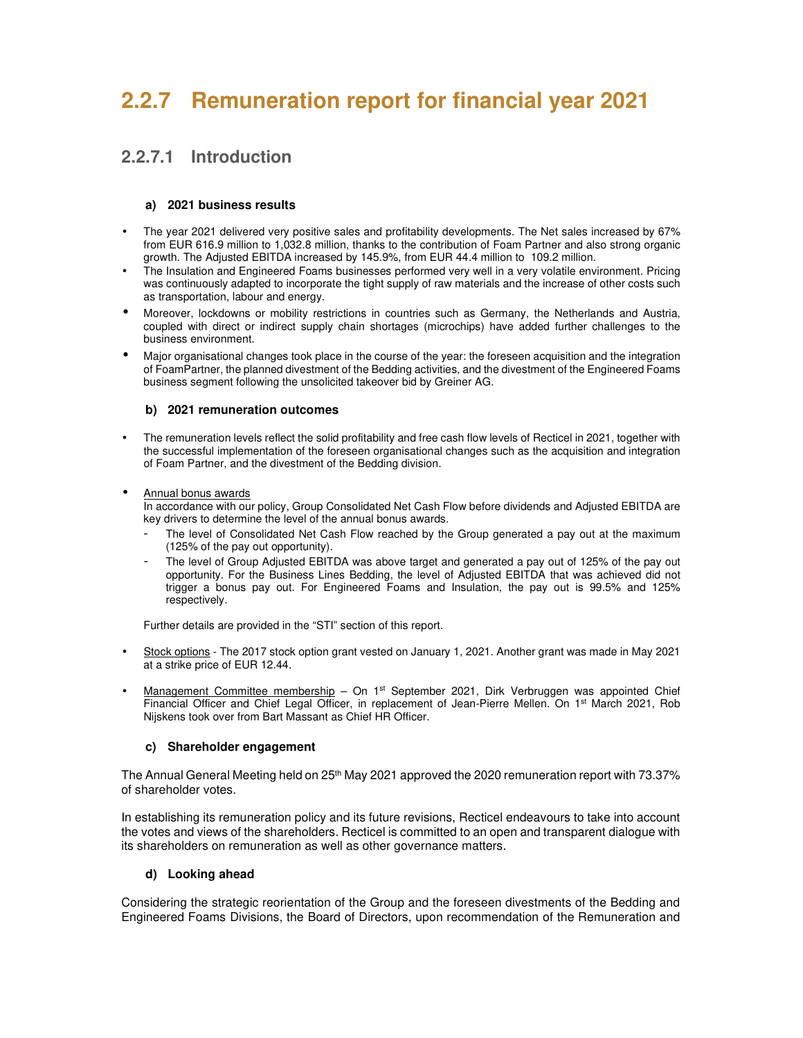# **2.2.7 Remuneration report for financial year 2021**

### **2.2.7.1 Introduction**

### **a) 2021 business results**

- The year 2021 delivered very positive sales and profitability developments. The Net sales increased by 67% from EUR 616.9 million to 1,032.8 million, thanks to the contribution of Foam Partner and also strong organic growth. The Adjusted EBITDA increased by 145.9%, from EUR 44.4 million to 109.2 million.
- The Insulation and Engineered Foams businesses performed very well in a very volatile environment. Pricing was continuously adapted to incorporate the tight supply of raw materials and the increase of other costs such as transportation, labour and energy.
- Moreover, lockdowns or mobility restrictions in countries such as Germany, the Netherlands and Austria, coupled with direct or indirect supply chain shortages (microchips) have added further challenges to the business environment.
- Major organisational changes took place in the course of the year: the foreseen acquisition and the integration of FoamPartner, the planned divestment of the Bedding activities, and the divestment of the Engineered Foams business segment following the unsolicited takeover bid by Greiner AG.

### **b) 2021 remuneration outcomes**

• The remuneration levels reflect the solid profitability and free cash flow levels of Recticel in 2021, together with the successful implementation of the foreseen organisational changes such as the acquisition and integration of Foam Partner, and the divestment of the Bedding division.

#### • Annual bonus awards

In accordance with our policy, Group Consolidated Net Cash Flow before dividends and Adjusted EBITDA are key drivers to determine the level of the annual bonus awards.

- The level of Consolidated Net Cash Flow reached by the Group generated a pay out at the maximum (125% of the pay out opportunity).
- The level of Group Adjusted EBITDA was above target and generated a pay out of 125% of the pay out opportunity. For the Business Lines Bedding, the level of Adjusted EBITDA that was achieved did not trigger a bonus pay out. For Engineered Foams and Insulation, the pay out is 99.5% and 125% respectively.

Further details are provided in the "STI" section of this report.

- Stock options The 2017 stock option grant vested on January 1, 2021. Another grant was made in May 2021 at a strike price of EUR 12.44.
- Management Committee membership On 1<sup>st</sup> September 2021, Dirk Verbruggen was appointed Chief Financial Officer and Chief Legal Officer, in replacement of Jean-Pierre Mellen. On 1st March 2021, Rob Nijskens took over from Bart Massant as Chief HR Officer.

### **c) Shareholder engagement**

The Annual General Meeting held on 25<sup>th</sup> May 2021 approved the 2020 remuneration report with 73.37% of shareholder votes.

In establishing its remuneration policy and its future revisions, Recticel endeavours to take into account the votes and views of the shareholders. Recticel is committed to an open and transparent dialogue with its shareholders on remuneration as well as other governance matters.

### **d) Looking ahead**

Considering the strategic reorientation of the Group and the foreseen divestments of the Bedding and Engineered Foams Divisions, the Board of Directors, upon recommendation of the Remuneration and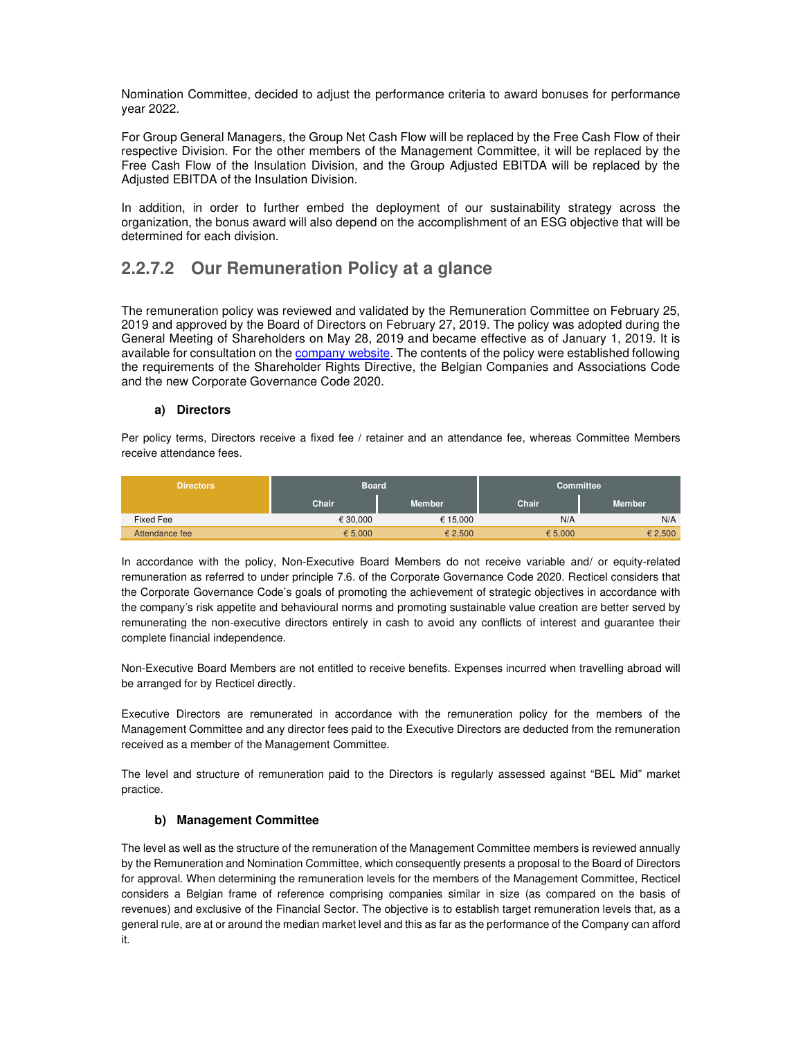Nomination Committee, decided to adjust the performance criteria to award bonuses for performance year 2022.

For Group General Managers, the Group Net Cash Flow will be replaced by the Free Cash Flow of their respective Division. For the other members of the Management Committee, it will be replaced by the Free Cash Flow of the Insulation Division, and the Group Adjusted EBITDA will be replaced by the Adjusted EBITDA of the Insulation Division.

In addition, in order to further embed the deployment of our sustainability strategy across the organization, the bonus award will also depend on the accomplishment of an ESG objective that will be determined for each division.

## **2.2.7.2 Our Remuneration Policy at a glance**

The remuneration policy was reviewed and validated by the Remuneration Committee on February 25, 2019 and approved by the Board of Directors on February 27, 2019. The policy was adopted during the General Meeting of Shareholders on May 28, 2019 and became effective as of January 1, 2019. It is available for consultation on the company website. The contents of the policy were established following the requirements of the Shareholder Rights Directive, the Belgian Companies and Associations Code and the new Corporate Governance Code 2020.

### **a) Directors**

Per policy terms, Directors receive a fixed fee / retainer and an attendance fee, whereas Committee Members receive attendance fees.

| <b>Directors</b> | <b>Board</b> |               | <b>Committee</b> |               |  |
|------------------|--------------|---------------|------------------|---------------|--|
|                  | Chair        | <b>Member</b> | <b>Chair</b>     | <b>Member</b> |  |
| Fixed Fee        | € 30.000     | € 15.000      | N/A              | N/A           |  |
| Attendance fee   | € 5,000      | € 2,500       | € 5,000          | € 2,500       |  |

In accordance with the policy, Non-Executive Board Members do not receive variable and/ or equity-related remuneration as referred to under principle 7.6. of the Corporate Governance Code 2020. Recticel considers that the Corporate Governance Code's goals of promoting the achievement of strategic objectives in accordance with the company's risk appetite and behavioural norms and promoting sustainable value creation are better served by remunerating the non-executive directors entirely in cash to avoid any conflicts of interest and guarantee their complete financial independence.

Non-Executive Board Members are not entitled to receive benefits. Expenses incurred when travelling abroad will be arranged for by Recticel directly.

Executive Directors are remunerated in accordance with the remuneration policy for the members of the Management Committee and any director fees paid to the Executive Directors are deducted from the remuneration received as a member of the Management Committee.

The level and structure of remuneration paid to the Directors is regularly assessed against "BEL Mid" market practice.

### **b) Management Committee**

The level as well as the structure of the remuneration of the Management Committee members is reviewed annually by the Remuneration and Nomination Committee, which consequently presents a proposal to the Board of Directors for approval. When determining the remuneration levels for the members of the Management Committee, Recticel considers a Belgian frame of reference comprising companies similar in size (as compared on the basis of revenues) and exclusive of the Financial Sector. The objective is to establish target remuneration levels that, as a general rule, are at or around the median market level and this as far as the performance of the Company can afford it.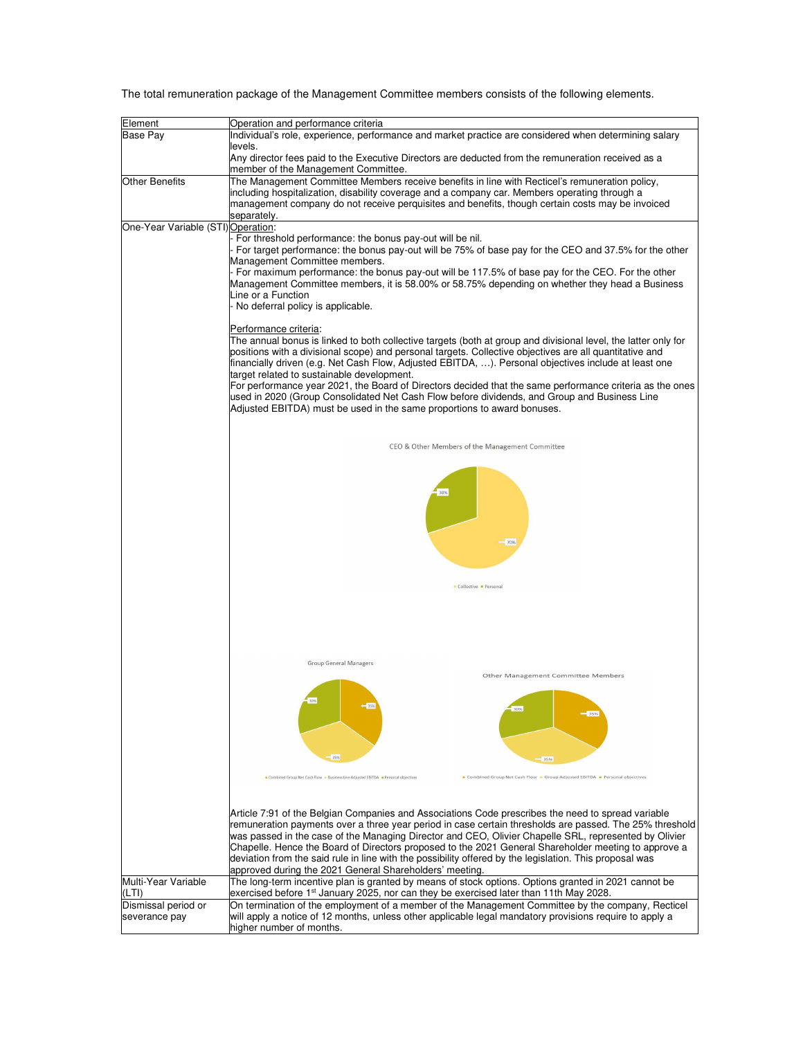The total remuneration package of the Management Committee members consists of the following elements.

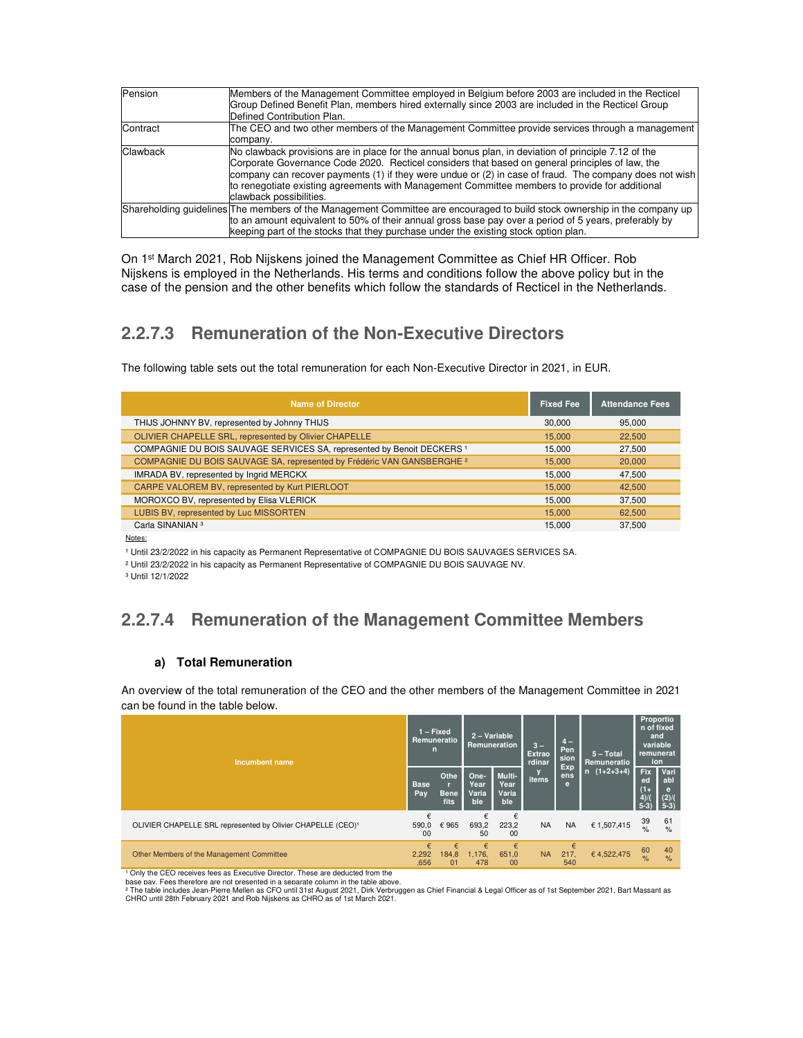| Pension         | Members of the Management Committee employed in Belgium before 2003 are included in the Recticel<br>Group Defined Benefit Plan, members hired externally since 2003 are included in the Recticel Group<br>Defined Contribution Plan.                                                                                                                                                                                                           |
|-----------------|------------------------------------------------------------------------------------------------------------------------------------------------------------------------------------------------------------------------------------------------------------------------------------------------------------------------------------------------------------------------------------------------------------------------------------------------|
| Contract        | The CEO and two other members of the Management Committee provide services through a management<br>company.                                                                                                                                                                                                                                                                                                                                    |
| <b>Clawback</b> | No clawback provisions are in place for the annual bonus plan, in deviation of principle 7.12 of the<br>Corporate Governance Code 2020. Recticel considers that based on general principles of law, the<br>company can recover payments (1) if they were undue or (2) in case of fraud. The company does not wish<br>to renegotiate existing agreements with Management Committee members to provide for additional<br>clawback possibilities. |
|                 | Shareholding quidelines The members of the Management Committee are encouraged to build stock ownership in the company up<br>to an amount equivalent to 50% of their annual gross base pay over a period of 5 years, preferably by<br>keeping part of the stocks that they purchase under the existing stock option plan.                                                                                                                      |

On 1st March 2021, Rob Nijskens joined the Management Committee as Chief HR Officer. Rob Nijskens is employed in the Netherlands. His terms and conditions follow the above policy but in the case of the pension and the other benefits which follow the standards of Recticel in the Netherlands.

## **2.2.7.3 Remuneration of the Non-Executive Directors**

The following table sets out the total remuneration for each Non-Executive Director in 2021, in EUR.

| <b>Name of Director</b>                                                           | <b>Fixed Fee</b> | <b>Attendance Fees</b> |
|-----------------------------------------------------------------------------------|------------------|------------------------|
| THIJS JOHNNY BV, represented by Johnny THIJS                                      | 30,000           | 95.000                 |
| OLIVIER CHAPELLE SRL, represented by Olivier CHAPELLE                             | 15,000           | 22,500                 |
| COMPAGNIE DU BOIS SAUVAGE SERVICES SA, represented by Benoit DECKERS <sup>1</sup> | 15.000           | 27.500                 |
| COMPAGNIE DU BOIS SAUVAGE SA, represented by Frédéric VAN GANSBERGHE 2            | 15.000           | 20,000                 |
| IMRADA BV, represented by Ingrid MERCKX                                           | 15.000           | 47.500                 |
| CARPE VALOREM BV, represented by Kurt PIERLOOT                                    | 15,000           | 42.500                 |
| MOROXCO BV, represented by Elisa VLERICK                                          | 15.000           | 37.500                 |
| LUBIS BV, represented by Luc MISSORTEN                                            | 15,000           | 62.500                 |
| Carla SINANIAN <sup>3</sup>                                                       | 15.000           | 37.500                 |

Notes:

<sup>1</sup> Until 23/2/2022 in his capacity as Permanent Representative of COMPAGNIE DU BOIS SAUVAGES SERVICES SA.

² Until 23/2/2022 in his capacity as Permanent Representative of COMPAGNIE DU BOIS SAUVAGE NV.

³ Until 12/1/2022

## **2.2.7.4 Remuneration of the Management Committee Members**

### **a) Total Remuneration**

An overview of the total remuneration of the CEO and the other members of the Management Committee in 2021 can be found in the table below.

| Incumbent name                                                          |                    | $1 -$ Fixed<br>Remuneratio<br>n   |                              | 2 - Variable<br>Remuneration   |                   | $4-$<br>Pen<br>sion<br>Exp | $5 - Total$<br>Remuneratio                 | Proportio<br>n of fixed<br>and<br>variable<br>remunerat<br>ion |                     |
|-------------------------------------------------------------------------|--------------------|-----------------------------------|------------------------------|--------------------------------|-------------------|----------------------------|--------------------------------------------|----------------------------------------------------------------|---------------------|
|                                                                         |                    | Othe<br>т.<br><b>Bene</b><br>fits | One-<br>Year<br>Varia<br>ble | Multi-<br>Year<br>Varia<br>ble | ens<br>items<br>e | $n(1+2+3+4)$               | <b>Fix</b><br>ed<br>$(1 +$<br>4)/<br>$5-3$ | <b>Vari</b><br>abl<br>e<br>(2)/(<br>$5-3$                      |                     |
| OLIVIER CHAPELLE SRL represented by Olivier CHAPELLE (CEO) <sup>1</sup> | 590,0<br>00        | €965                              | €<br>693,2<br>50             | €<br>223,2<br>00               | <b>NA</b>         | <b>NA</b>                  | € 1,507,415                                | 39<br>$\frac{9}{6}$                                            | 61<br>$\frac{9}{6}$ |
| Other Members of the Management Committee                               | €<br>2,292<br>.656 | €<br>184,8<br>01                  | €<br>1,176,<br>478           | €<br>651,0<br>0 <sup>0</sup>   | <b>NA</b>         | €<br>217,<br>540           | €4,522,475                                 | 60<br>$\frac{9}{6}$                                            | 40<br>$\frac{9}{6}$ |

<sup>1</sup> Only the CEO receives fees as Executive Director. These are deducted from the ' Only the CEO receives fees as Executive Director. These are deducted from the<br>base pav. Fees therefore are not presented in a separate column in the table above.

° The table includes Jean-Pierre Mellen as CFO until 31st August 2021, Dirk Verbruggen as Chief Financial & Legal Officer as of 1st September 2021, Bart Massant as<br>CHRO until 28th February 2021 and Rob Nijskens as CHRO a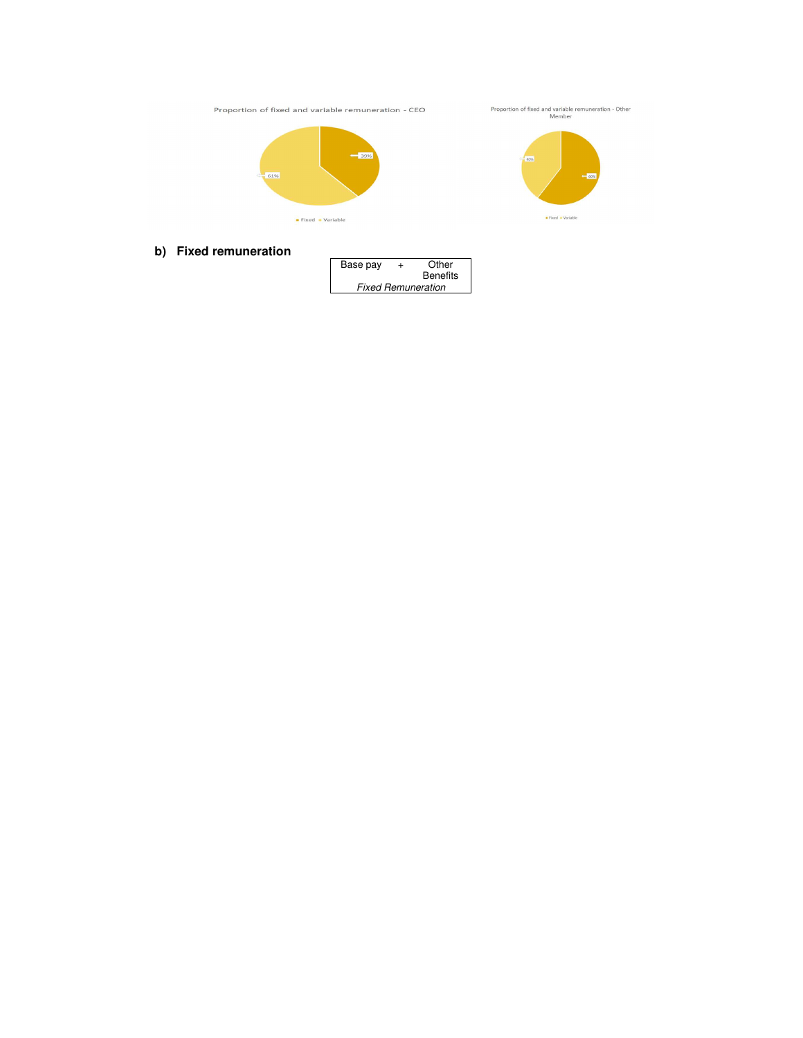Proportion of fixed and variable remuneration - CEO

61% Fixed • Variable



**b) Fixed remuneration** 

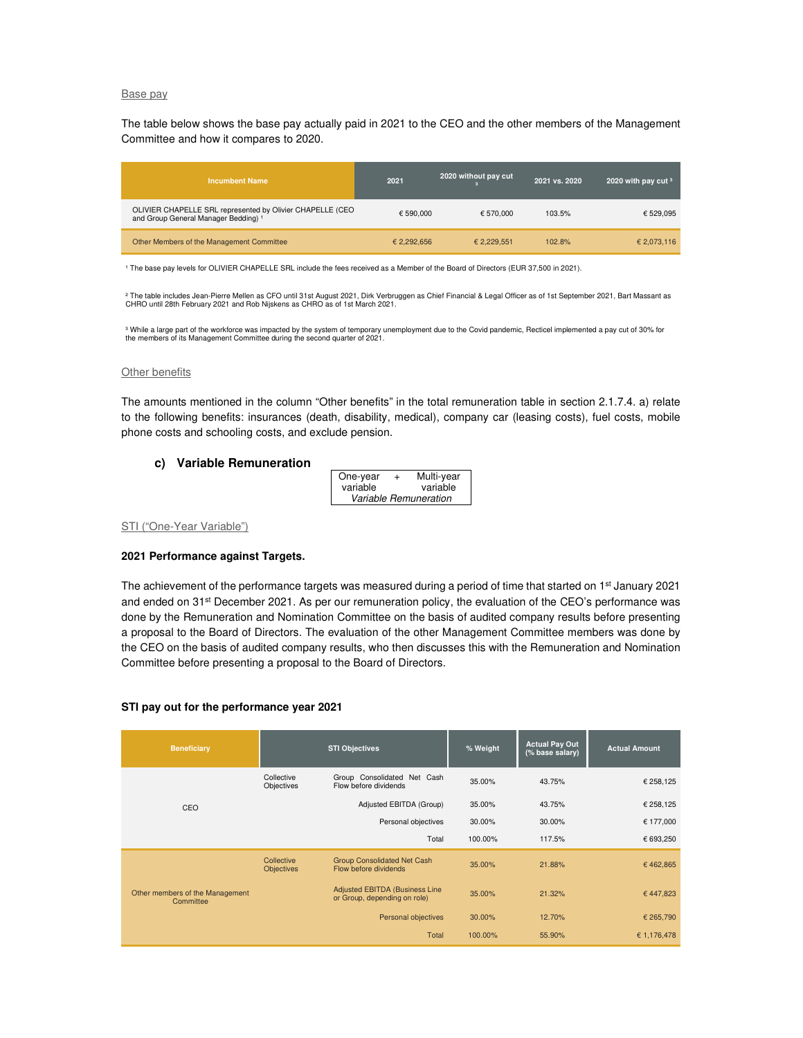#### Base pay

The table below shows the base pay actually paid in 2021 to the CEO and the other members of the Management Committee and how it compares to 2020.

| <b>Incumbent Name</b>                                                                                        | 2021        | 2020 without pay cut | 2021 vs. 2020 | 2020 with pay cut $3$ |
|--------------------------------------------------------------------------------------------------------------|-------------|----------------------|---------------|-----------------------|
| OLIVIER CHAPELLE SRL represented by Olivier CHAPELLE (CEO<br>and Group General Manager Bedding) <sup>1</sup> | € 590,000   | € 570.000            | 103.5%        | € 529.095             |
| Other Members of the Management Committee                                                                    | € 2.292.656 | € 2.229.551          | 102.8%        | € 2,073,116           |

<sup>1</sup> The base pay levels for OLIVIER CHAPELLE SRL include the fees received as a Member of the Board of Directors (EUR 37,500 in 2021).

° The table includes Jean-Pierre Mellen as CFO until 31st August 2021, Dirk Verbruggen as Chief Financial & Legal Officer as of 1st September 2021, Bart Massant as<br>CHRO until 28th February 2021 and Rob Nijskens as CHRO as

<sup>3</sup> While a large part of the workforce was impacted by the system of temporary unemployment due to the Covid pandemic, Recticel implemented a pay cut of 30% for the members of its Management Committee during the second quarter of 2021.

#### **Other benefits**

The amounts mentioned in the column "Other benefits" in the total remuneration table in section 2.1.7.4. a) relate to the following benefits: insurances (death, disability, medical), company car (leasing costs), fuel costs, mobile phone costs and schooling costs, and exclude pension.

#### **c) Variable Remuneration**

| One-year              | $+$ | Multi-year |  |  |  |
|-----------------------|-----|------------|--|--|--|
| variable              |     | variable   |  |  |  |
| Variable Remuneration |     |            |  |  |  |

#### STI ("One-Year Variable")

#### **2021 Performance against Targets.**

The achievement of the performance targets was measured during a period of time that started on 1<sup>st</sup> January 2021 and ended on 31st December 2021. As per our remuneration policy, the evaluation of the CEO's performance was done by the Remuneration and Nomination Committee on the basis of audited company results before presenting a proposal to the Board of Directors. The evaluation of the other Management Committee members was done by the CEO on the basis of audited company results, who then discusses this with the Remuneration and Nomination Committee before presenting a proposal to the Board of Directors.

#### **STI pay out for the performance year 2021**

| <b>Beneficiary</b>                           |                          | <b>STI Objectives</b>                                                 | % Weight | <b>Actual Pay Out</b><br>(% base salary) | <b>Actual Amount</b> |
|----------------------------------------------|--------------------------|-----------------------------------------------------------------------|----------|------------------------------------------|----------------------|
|                                              | Collective<br>Objectives | Group Consolidated Net Cash<br>Flow before dividends                  | 35.00%   | 43.75%                                   | € 258,125            |
| CEO                                          |                          | Adjusted EBITDA (Group)                                               | 35.00%   | 43.75%                                   | € 258,125            |
|                                              |                          | Personal objectives                                                   | 30.00%   | 30.00%                                   | € 177,000            |
|                                              |                          | Total                                                                 | 100.00%  | 117.5%                                   | € 693,250            |
|                                              | Collective<br>Objectives | <b>Group Consolidated Net Cash</b><br>Flow before dividends           | 35.00%   | 21.88%                                   | €462,865             |
| Other members of the Management<br>Committee |                          | <b>Adjusted EBITDA (Business Line</b><br>or Group, depending on role) | 35.00%   | 21.32%                                   | €447,823             |
|                                              |                          | Personal objectives                                                   | 30.00%   | 12.70%                                   | € 265,790            |
|                                              |                          | Total                                                                 | 100.00%  | 55.90%                                   | € 1,176,478          |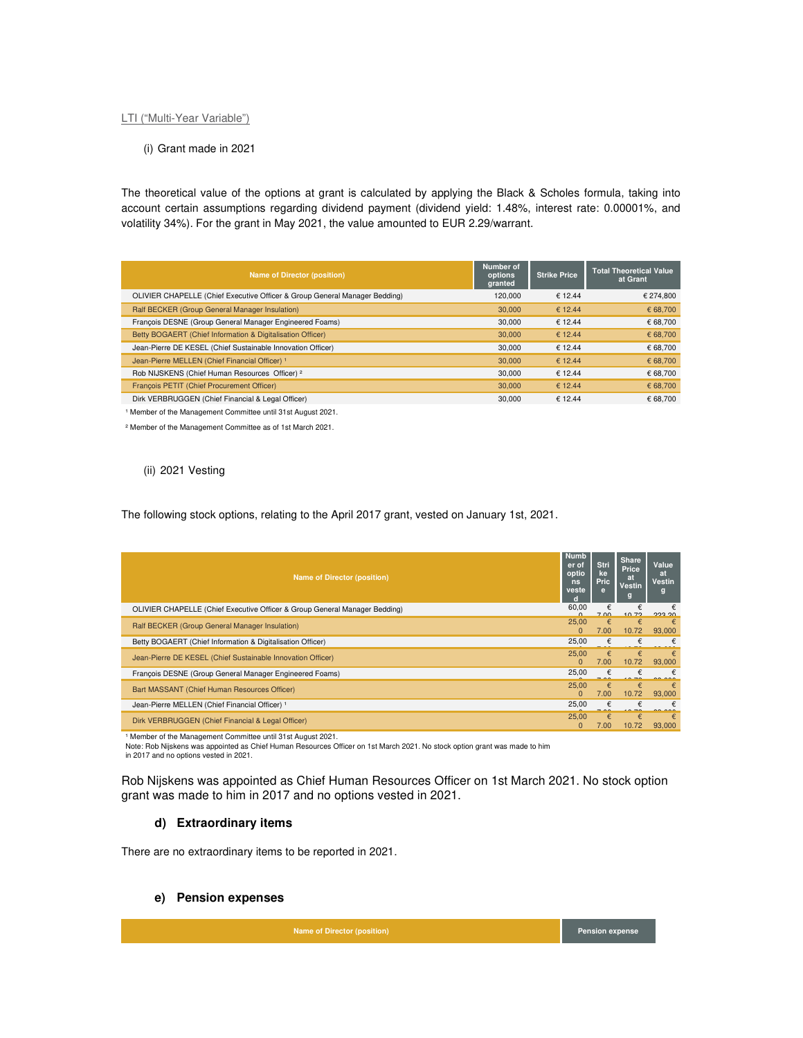#### LTI ("Multi-Year Variable")

(i) Grant made in 2021

The theoretical value of the options at grant is calculated by applying the Black & Scholes formula, taking into account certain assumptions regarding dividend payment (dividend yield: 1.48%, interest rate: 0.00001%, and volatility 34%). For the grant in May 2021, the value amounted to EUR 2.29/warrant.

| Name of Director (position)                                                | Number of<br>options<br>granted | <b>Strike Price</b> | <b>Total Theoretical Value</b><br>at Grant |
|----------------------------------------------------------------------------|---------------------------------|---------------------|--------------------------------------------|
| OLIVIER CHAPELLE (Chief Executive Officer & Group General Manager Bedding) | 120,000                         | € 12.44             | € 274,800                                  |
| Ralf BECKER (Group General Manager Insulation)                             | 30,000                          | € 12.44             | € 68.700                                   |
| François DESNE (Group General Manager Engineered Foams)                    | 30,000                          | € 12.44             | € 68,700                                   |
| Betty BOGAERT (Chief Information & Digitalisation Officer)                 | 30,000                          | € 12.44             | € 68,700                                   |
| Jean-Pierre DE KESEL (Chief Sustainable Innovation Officer)                | 30,000                          | € 12.44             | € 68,700                                   |
| Jean-Pierre MELLEN (Chief Financial Officer) <sup>1</sup>                  | 30,000                          | € 12.44             | € 68,700                                   |
| Rob NIJSKENS (Chief Human Resources Officer) 2                             | 30,000                          | € 12.44             | € 68,700                                   |
| François PETIT (Chief Procurement Officer)                                 | 30,000                          | € 12.44             | € 68,700                                   |
| Dirk VERBRUGGEN (Chief Financial & Legal Officer)                          | 30,000                          | € 12.44             | € 68.700                                   |

<sup>1</sup> Member of the Management Committee until 31st August 2021.

² Member of the Management Committee as of 1st March 2021.

#### (ii) 2021 Vesting

The following stock options, relating to the April 2017 grant, vested on January 1st, 2021.

| <b>Name of Director (position)</b>                                         | <b>Numb</b><br>er of<br>optio<br>ns<br>veste | Stri<br>ke<br><b>Pric</b><br>e | <b>Share</b><br>Price<br>at<br>Vestin | Value<br>at<br><b>Vestin</b><br>g |
|----------------------------------------------------------------------------|----------------------------------------------|--------------------------------|---------------------------------------|-----------------------------------|
| OLIVIER CHAPELLE (Chief Executive Officer & Group General Manager Bedding) | 60,00                                        | €<br>7.00                      | €<br>10.70                            | מפ פפס                            |
| Ralf BECKER (Group General Manager Insulation)                             | 25,00<br>$\Omega$                            | €<br>7.00                      | €<br>10.72                            | $\epsilon$<br>93,000              |
| Betty BOGAERT (Chief Information & Digitalisation Officer)                 | 25,00                                        | €                              |                                       |                                   |
| Jean-Pierre DE KESEL (Chief Sustainable Innovation Officer)                | 25.00<br>$\Omega$                            | €<br>7.00                      | $\epsilon$<br>10.72                   | $\epsilon$<br>93,000              |
| François DESNE (Group General Manager Engineered Foams)                    | 25,00                                        | €                              | €                                     | €                                 |
| Bart MASSANT (Chief Human Resources Officer)                               | 25.00<br>$\Omega$                            | €<br>7.00                      | €<br>10.72                            | $\epsilon$<br>93,000              |
| Jean-Pierre MELLEN (Chief Financial Officer) <sup>1</sup>                  | 25,00                                        | €                              |                                       |                                   |
| Dirk VERBRUGGEN (Chief Financial & Legal Officer)                          | 25.00<br>$\Omega$                            | €<br>7.00                      | €<br>10.72                            | $\epsilon$<br>93,000              |

<sup>1</sup> Member of the Management Committee until 31st August 2021.

Note: Rob Nijskens was appointed as Chief Human Resources Officer on 1st March 2021. No stock option grant was made to him in 2017 and no options vested in 2021.

Rob Nijskens was appointed as Chief Human Resources Officer on 1st March 2021. No stock option grant was made to him in 2017 and no options vested in 2021.

#### **d) Extraordinary items**

There are no extraordinary items to be reported in 2021.

#### **e) Pension expenses**

**Name of Director (position)** Pension expense **Pension expense**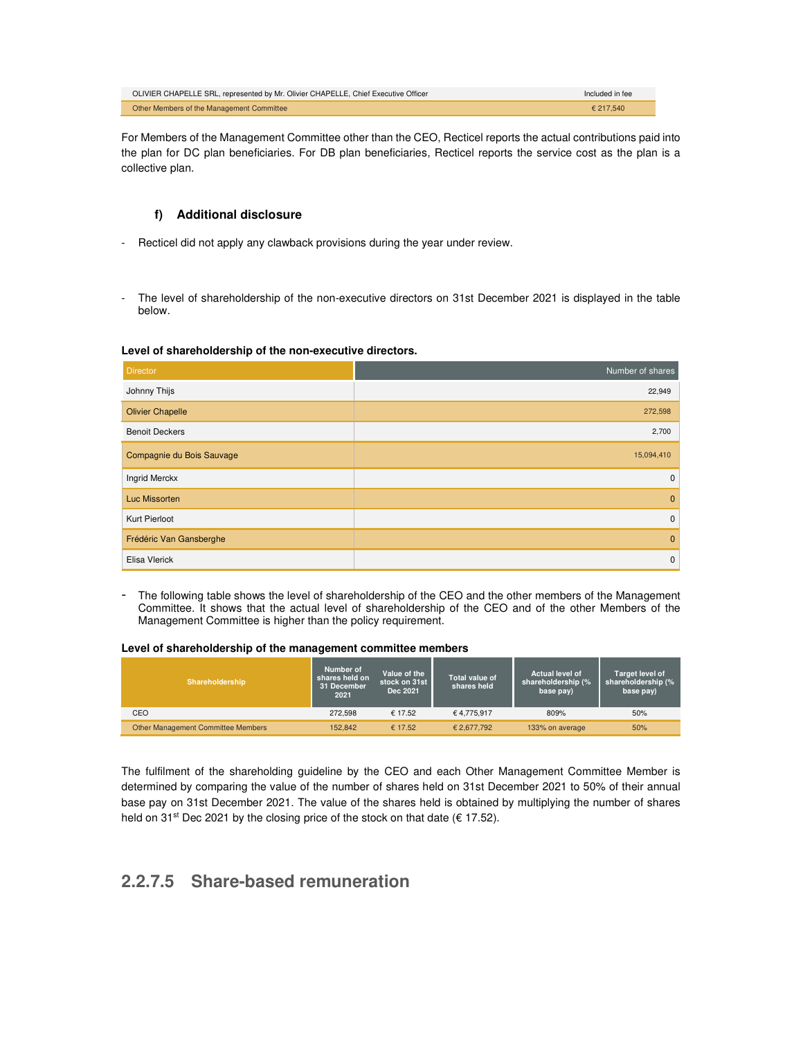| OLIVIER CHAPELLE SRL, represented by Mr. Olivier CHAPELLE, Chief Executive Officer | Included in fee |
|------------------------------------------------------------------------------------|-----------------|
| Other Members of the Management Committee                                          | £ 217.540       |

For Members of the Management Committee other than the CEO, Recticel reports the actual contributions paid into the plan for DC plan beneficiaries. For DB plan beneficiaries, Recticel reports the service cost as the plan is a collective plan.

### **f) Additional disclosure**

- Recticel did not apply any clawback provisions during the year under review.
- The level of shareholdership of the non-executive directors on 31st December 2021 is displayed in the table below.

#### **Level of shareholdership of the non-executive directors.**

| <b>Director</b>           | Number of shares |
|---------------------------|------------------|
| Johnny Thijs              | 22,949           |
| <b>Olivier Chapelle</b>   | 272,598          |
| <b>Benoit Deckers</b>     | 2,700            |
| Compagnie du Bois Sauvage | 15,094,410       |
| <b>Ingrid Merckx</b>      | $\mathbf 0$      |
| Luc Missorten             | $\mathbf{0}$     |
| Kurt Pierloot             | $\mathbf 0$      |
| Frédéric Van Gansberghe   | $\mathbf{0}$     |
| Elisa Vlerick             | $\mathbf 0$      |

- The following table shows the level of shareholdership of the CEO and the other members of the Management Committee. It shows that the actual level of shareholdership of the CEO and of the other Members of the Management Committee is higher than the policy requirement.

#### **Level of shareholdership of the management committee members**

| <b>Shareholdership</b>                    | Number of<br>shares held on<br>31 December<br>2021 | Value of the<br>stock on 31st<br>Dec 2021 | <b>Total value of</b><br>shares held | <b>Actual level of</b><br>shareholdership (%<br>base pay) | Target level of<br>shareholdership (%<br>base pay) |
|-------------------------------------------|----------------------------------------------------|-------------------------------------------|--------------------------------------|-----------------------------------------------------------|----------------------------------------------------|
| CEO                                       | 272.598                                            | € 17.52                                   | €4.775.917                           | 809%                                                      | 50%                                                |
| <b>Other Management Committee Members</b> | 152,842                                            | € 17.52                                   | € 2.677.792                          | 133% on average                                           | 50%                                                |

The fulfilment of the shareholding guideline by the CEO and each Other Management Committee Member is determined by comparing the value of the number of shares held on 31st December 2021 to 50% of their annual base pay on 31st December 2021. The value of the shares held is obtained by multiplying the number of shares held on 31<sup>st</sup> Dec 2021 by the closing price of the stock on that date (€ 17.52).

## **2.2.7.5 Share-based remuneration**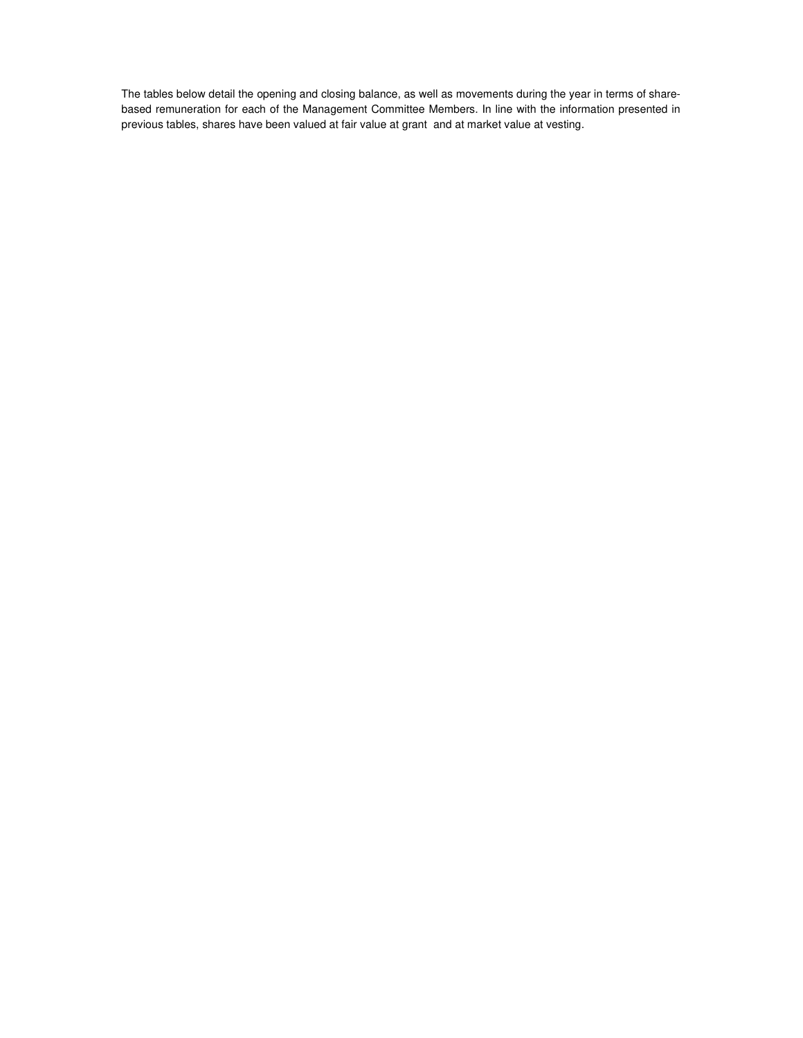The tables below detail the opening and closing balance, as well as movements during the year in terms of sharebased remuneration for each of the Management Committee Members. In line with the information presented in previous tables, shares have been valued at fair value at grant and at market value at vesting.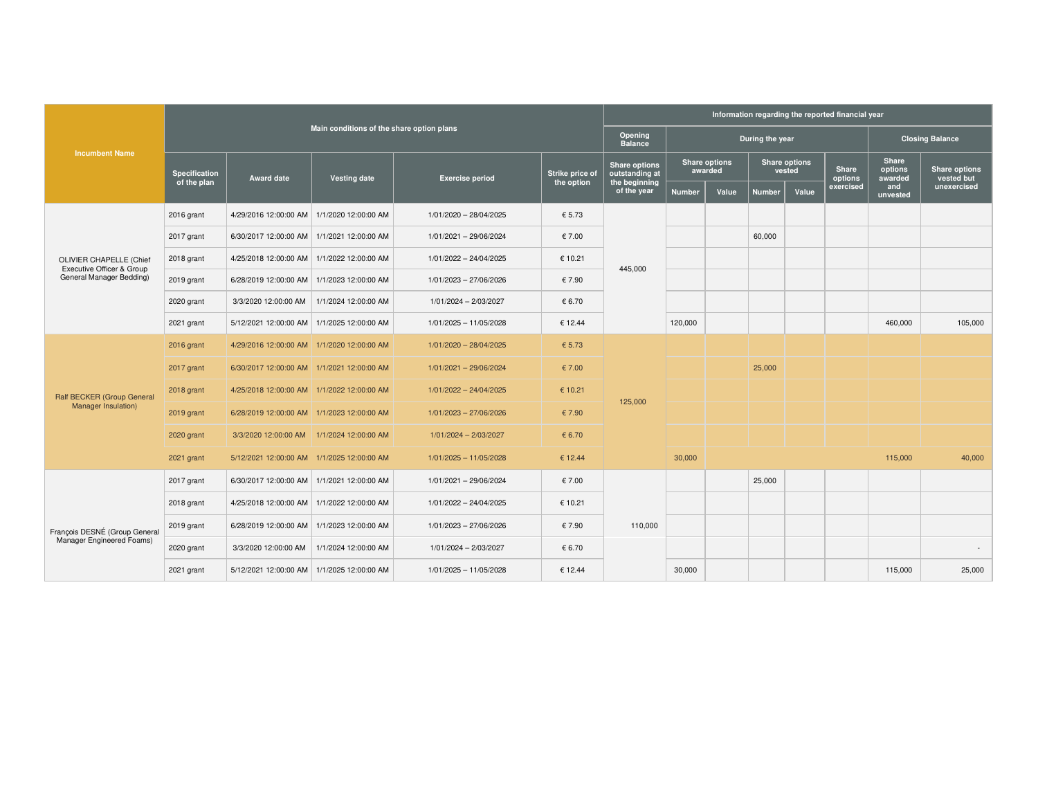|                                                      |                                           |                                              |                      | Information regarding the reported financial year |                                  |                                        |                                 |                 |                                |       |                      |                             |                           |
|------------------------------------------------------|-------------------------------------------|----------------------------------------------|----------------------|---------------------------------------------------|----------------------------------|----------------------------------------|---------------------------------|-----------------|--------------------------------|-------|----------------------|-----------------------------|---------------------------|
|                                                      | Main conditions of the share option plans |                                              |                      |                                                   | <b>Opening</b><br><b>Balance</b> |                                        |                                 | During the year |                                |       |                      | <b>Closing Balance</b>      |                           |
| <b>Incumbent Name</b>                                | <b>Specification</b>                      |                                              |                      |                                                   | Strike price of                  | <b>Share options</b><br>outstanding at | <b>Share options</b><br>awarded |                 | <b>Share options</b><br>vested |       | <b>Share</b>         | Share<br>options<br>awarded | <b>Share options</b>      |
|                                                      | of the plan                               | <b>Award date</b>                            | <b>Vesting date</b>  | <b>Exercise period</b><br>the option              |                                  | the beginning<br>of the year           | <b>Number</b>                   | Value           | <b>Number</b>                  | Value | options<br>exercised | and<br>unvested             | vested but<br>unexercised |
|                                                      | 2016 grant                                | 4/29/2016 12:00:00 AM                        | 1/1/2020 12:00:00 AM | 1/01/2020 - 28/04/2025                            | € 5.73                           |                                        |                                 |                 |                                |       |                      |                             |                           |
|                                                      | 2017 grant                                | 6/30/2017 12:00:00 AM   1/1/2021 12:00:00 AM |                      | 1/01/2021 - 29/06/2024                            | € 7.00                           |                                        |                                 |                 | 60,000                         |       |                      |                             |                           |
| OLIVIER CHAPELLE (Chief<br>Executive Officer & Group | 2018 grant                                | 4/25/2018 12:00:00 AM                        | 1/1/2022 12:00:00 AM | 1/01/2022 - 24/04/2025                            | € 10.21                          | 445,000                                |                                 |                 |                                |       |                      |                             |                           |
| General Manager Bedding)                             | 2019 grant                                | 6/28/2019 12:00:00 AM   1/1/2023 12:00:00 AM |                      | 1/01/2023 - 27/06/2026                            | € 7.90                           |                                        |                                 |                 |                                |       |                      |                             |                           |
|                                                      | 2020 grant                                | 3/3/2020 12:00:00 AM                         | 1/1/2024 12:00:00 AM | 1/01/2024 - 2/03/2027                             | € 6.70                           |                                        |                                 |                 |                                |       |                      |                             |                           |
|                                                      | 2021 grant                                | 5/12/2021 12:00:00 AM                        | 1/1/2025 12:00:00 AM | 1/01/2025 - 11/05/2028                            | € 12.44                          |                                        | 120,000                         |                 |                                |       |                      | 460,000                     | 105,000                   |
|                                                      | 2016 grant                                | 4/29/2016 12:00:00 AM 1/1/2020 12:00:00 AM   |                      | 1/01/2020 - 28/04/2025                            | € 5.73                           |                                        |                                 |                 |                                |       |                      |                             |                           |
|                                                      | 2017 grant                                | 6/30/2017 12:00:00 AM 1/1/2021 12:00:00 AM   |                      | 1/01/2021 - 29/06/2024                            | € 7.00                           |                                        |                                 |                 | 25,000                         |       |                      |                             |                           |
| Ralf BECKER (Group General                           | 2018 grant                                | 4/25/2018 12:00:00 AM 1/1/2022 12:00:00 AM   |                      | 1/01/2022 - 24/04/2025                            | € 10.21                          |                                        |                                 |                 |                                |       |                      |                             |                           |
| <b>Manager Insulation)</b>                           | 2019 grant                                | 6/28/2019 12:00:00 AM 1/1/2023 12:00:00 AM   |                      | 1/01/2023 - 27/06/2026                            | € 7.90                           | 125,000                                |                                 |                 |                                |       |                      |                             |                           |
|                                                      | 2020 grant                                | 3/3/2020 12:00:00 AM 1/1/2024 12:00:00 AM    |                      | 1/01/2024 - 2/03/2027                             | € 6.70                           |                                        |                                 |                 |                                |       |                      |                             |                           |
|                                                      | 2021 grant                                | 5/12/2021 12:00:00 AM 1/1/2025 12:00:00 AM   |                      | 1/01/2025 - 11/05/2028                            | € 12.44                          |                                        | 30,000                          |                 |                                |       |                      | 115,000                     | 40,000                    |
|                                                      | 2017 grant                                | 6/30/2017 12:00:00 AM   1/1/2021 12:00:00 AM |                      | 1/01/2021 - 29/06/2024                            | € 7.00                           |                                        |                                 |                 | 25,000                         |       |                      |                             |                           |
|                                                      | 2018 grant                                | 4/25/2018 12:00:00 AM   1/1/2022 12:00:00 AM |                      | 1/01/2022 - 24/04/2025                            | € 10.21                          |                                        |                                 |                 |                                |       |                      |                             |                           |
| François DESNÉ (Group General                        | 2019 grant                                | 6/28/2019 12:00:00 AM                        | 1/1/2023 12:00:00 AM | 1/01/2023 - 27/06/2026                            | € 7.90                           | 110,000                                |                                 |                 |                                |       |                      |                             |                           |
| Manager Engineered Foams)                            | 2020 grant                                | 3/3/2020 12:00:00 AM                         | 1/1/2024 12:00:00 AM | 1/01/2024 - 2/03/2027                             | € 6.70                           |                                        |                                 |                 |                                |       |                      |                             |                           |
|                                                      | 2021 grant                                | 5/12/2021 12:00:00 AM   1/1/2025 12:00:00 AM |                      | 1/01/2025 - 11/05/2028                            | € 12.44                          |                                        | 30,000                          |                 |                                |       |                      | 115,000                     | 25,000                    |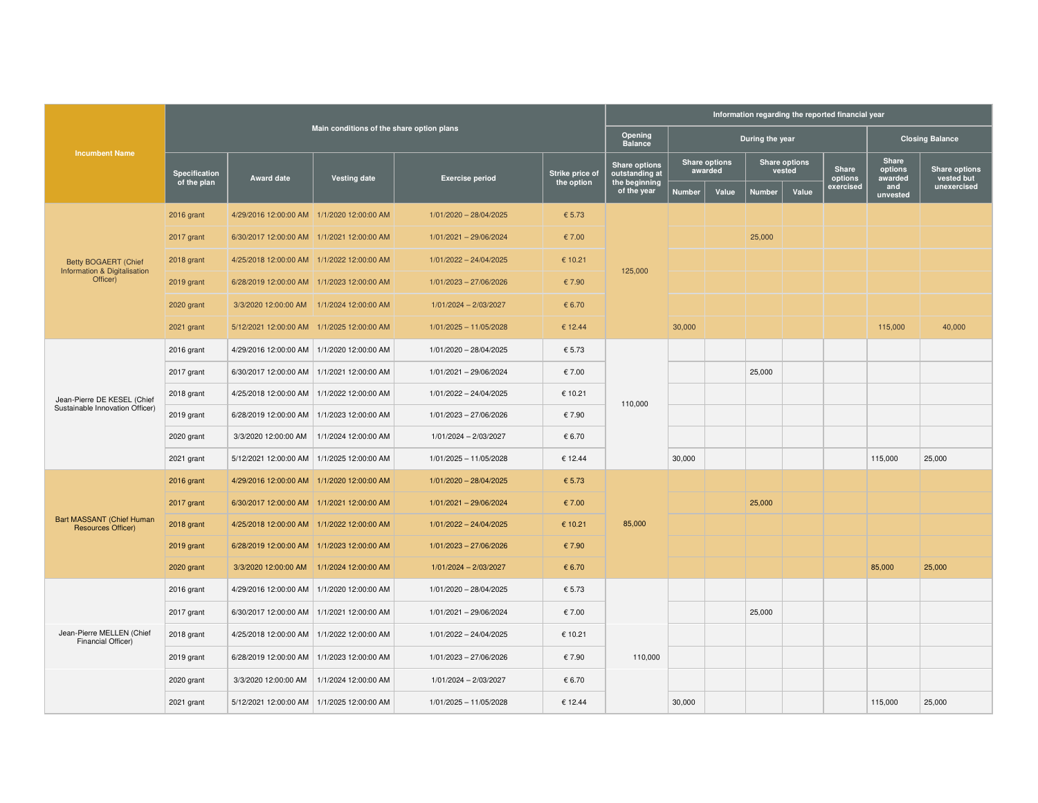|                                                             |                              |                                            |                                           |                          |                               | Information regarding the reported financial year       |               |                                 |                                |       |                               |                                    |                                            |
|-------------------------------------------------------------|------------------------------|--------------------------------------------|-------------------------------------------|--------------------------|-------------------------------|---------------------------------------------------------|---------------|---------------------------------|--------------------------------|-------|-------------------------------|------------------------------------|--------------------------------------------|
|                                                             |                              |                                            | Main conditions of the share option plans |                          |                               | Opening<br><b>Balance</b>                               |               |                                 | During the year                |       |                               |                                    | <b>Closing Balance</b>                     |
| <b>Incumbent Name</b>                                       | Specification<br>of the plan | <b>Award date</b>                          | <b>Vesting date</b>                       | <b>Exercise period</b>   | Strike price of<br>the option | <b>Share options</b><br>outstanding at<br>the beginning |               | <b>Share options</b><br>awarded | <b>Share options</b><br>vested |       | Share<br>options<br>exercised | Share<br>options<br>awarded<br>and | Share options<br>vested but<br>unexercised |
|                                                             |                              |                                            |                                           |                          |                               | of the year                                             | <b>Number</b> | Value                           | <b>Number</b>                  | Value |                               | unvested                           |                                            |
|                                                             | 2016 grant                   | 4/29/2016 12:00:00 AM 1/1/2020 12:00:00 AM |                                           | 1/01/2020 - 28/04/2025   | € 5.73                        |                                                         |               |                                 |                                |       |                               |                                    |                                            |
|                                                             | 2017 grant                   | 6/30/2017 12:00:00 AM 1/1/2021 12:00:00 AM |                                           | 1/01/2021 - 29/06/2024   | € 7.00                        |                                                         |               |                                 | 25,000                         |       |                               |                                    |                                            |
| <b>Betty BOGAERT (Chief</b><br>Information & Digitalisation | 2018 grant                   | 4/25/2018 12:00:00 AM 1/1/2022 12:00:00 AM |                                           | 1/01/2022 - 24/04/2025   | € 10.21                       | 125,000                                                 |               |                                 |                                |       |                               |                                    |                                            |
| Officer)                                                    | 2019 grant                   | 6/28/2019 12:00:00 AM 1/1/2023 12:00:00 AM |                                           | 1/01/2023 - 27/06/2026   | € 7.90                        |                                                         |               |                                 |                                |       |                               |                                    |                                            |
|                                                             | 2020 grant                   | 3/3/2020 12:00:00 AM 1/1/2024 12:00:00 AM  |                                           | 1/01/2024 - 2/03/2027    | € 6.70                        |                                                         |               |                                 |                                |       |                               |                                    |                                            |
|                                                             | 2021 grant                   | 5/12/2021 12:00:00 AM 1/1/2025 12:00:00 AM |                                           | $1/01/2025 - 11/05/2028$ | € 12.44                       |                                                         | 30,000        |                                 |                                |       |                               | 115,000                            | 40,000                                     |
|                                                             | 2016 grant                   | 4/29/2016 12:00:00 AM                      | 1/1/2020 12:00:00 AM                      | 1/01/2020 - 28/04/2025   | € 5.73                        | 110,000                                                 |               |                                 |                                |       |                               |                                    |                                            |
|                                                             | 2017 grant                   | 6/30/2017 12:00:00 AM                      | 1/1/2021 12:00:00 AM                      | 1/01/2021 - 29/06/2024   | € 7.00                        |                                                         |               |                                 | 25,000                         |       |                               |                                    |                                            |
| Jean-Pierre DE KESEL (Chief                                 | 2018 grant                   | 4/25/2018 12:00:00 AM                      | 1/1/2022 12:00:00 AM                      | 1/01/2022 - 24/04/2025   | € 10.21                       |                                                         |               |                                 |                                |       |                               |                                    |                                            |
| Sustainable Innovation Officer)                             | 2019 grant                   | 6/28/2019 12:00:00 AM                      | 1/1/2023 12:00:00 AM                      | 1/01/2023 - 27/06/2026   | € 7.90                        |                                                         |               |                                 |                                |       |                               |                                    |                                            |
|                                                             | 2020 grant                   | 3/3/2020 12:00:00 AM                       | 1/1/2024 12:00:00 AM                      | 1/01/2024 - 2/03/2027    | € 6.70                        |                                                         |               |                                 |                                |       |                               |                                    |                                            |
|                                                             | 2021 grant                   | 5/12/2021 12:00:00 AM                      | 1/1/2025 12:00:00 AM                      | 1/01/2025 - 11/05/2028   | € 12.44                       |                                                         | 30,000        |                                 |                                |       |                               | 115,000                            | 25,000                                     |
|                                                             | 2016 grant                   | 4/29/2016 12:00:00 AM 1/1/2020 12:00:00 AM |                                           | 1/01/2020 - 28/04/2025   | € 5.73                        |                                                         |               |                                 |                                |       |                               |                                    |                                            |
|                                                             | 2017 grant                   | 6/30/2017 12:00:00 AM 1/1/2021 12:00:00 AM |                                           | 1/01/2021 - 29/06/2024   | € 7.00                        |                                                         |               |                                 | 25,000                         |       |                               |                                    |                                            |
| Bart MASSANT (Chief Human<br><b>Resources Officer)</b>      | 2018 grant                   | 4/25/2018 12:00:00 AM 1/1/2022 12:00:00 AM |                                           | 1/01/2022 - 24/04/2025   | € 10.21                       | 85,000                                                  |               |                                 |                                |       |                               |                                    |                                            |
|                                                             | 2019 grant                   | 6/28/2019 12:00:00 AM 1/1/2023 12:00:00 AM |                                           | 1/01/2023 - 27/06/2026   | € 7.90                        |                                                         |               |                                 |                                |       |                               |                                    |                                            |
|                                                             | 2020 grant                   | 3/3/2020 12:00:00 AM 1/1/2024 12:00:00 AM  |                                           | 1/01/2024 - 2/03/2027    | € 6.70                        |                                                         |               |                                 |                                |       |                               | 85,000                             | 25,000                                     |
|                                                             | 2016 grant                   | 4/29/2016 12:00:00 AM                      | 1/1/2020 12:00:00 AM                      | 1/01/2020 - 28/04/2025   | € 5.73                        |                                                         |               |                                 |                                |       |                               |                                    |                                            |
|                                                             | 2017 grant                   | 6/30/2017 12:00:00 AM                      | 1/1/2021 12:00:00 AM                      | 1/01/2021 - 29/06/2024   | € 7.00                        |                                                         |               |                                 | 25,000                         |       |                               |                                    |                                            |
| Jean-Pierre MELLEN (Chief<br>Financial Officer)             | 2018 grant                   | 4/25/2018 12:00:00 AM                      | 1/1/2022 12:00:00 AM                      | 1/01/2022 - 24/04/2025   | € 10.21                       |                                                         |               |                                 |                                |       |                               |                                    |                                            |
|                                                             | 2019 grant                   | 6/28/2019 12:00:00 AM                      | 1/1/2023 12:00:00 AM                      | 1/01/2023 - 27/06/2026   | € 7.90                        | 110,000                                                 |               |                                 |                                |       |                               |                                    |                                            |
|                                                             | 2020 grant                   | 3/3/2020 12:00:00 AM                       | 1/1/2024 12:00:00 AM                      | 1/01/2024 - 2/03/2027    | € 6.70                        |                                                         |               |                                 |                                |       |                               |                                    |                                            |
|                                                             | 2021 grant                   | 5/12/2021 12:00:00 AM                      | 1/1/2025 12:00:00 AM                      | 1/01/2025 - 11/05/2028   | € 12.44                       |                                                         | 30,000        |                                 |                                |       |                               | 115,000                            | 25,000                                     |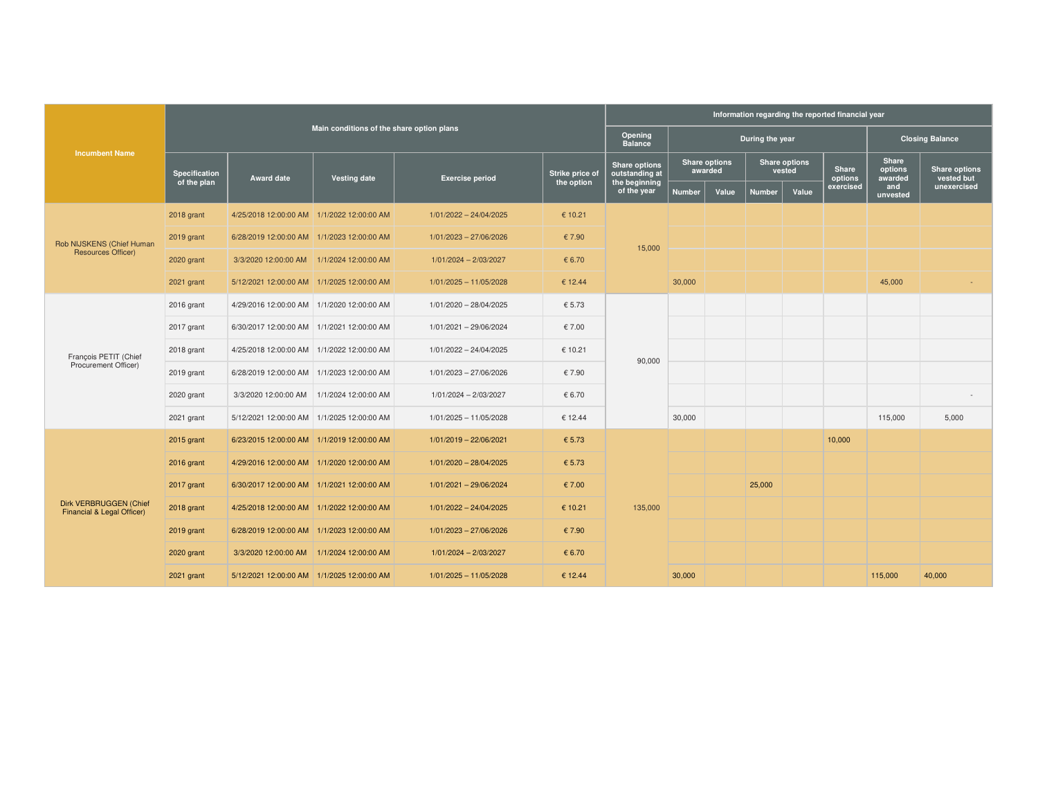|                                                      |                      |                                              |                                           |                          |                 |                                        | Information regarding the reported financial year |       |                                |       |                      |                            |                           |
|------------------------------------------------------|----------------------|----------------------------------------------|-------------------------------------------|--------------------------|-----------------|----------------------------------------|---------------------------------------------------|-------|--------------------------------|-------|----------------------|----------------------------|---------------------------|
|                                                      |                      |                                              | Main conditions of the share option plans |                          |                 | Opening<br><b>Balance</b>              |                                                   |       | During the year                |       |                      |                            | <b>Closing Balance</b>    |
| <b>Incumbent Name</b>                                | <b>Specification</b> |                                              |                                           |                          | Strike price of | <b>Share options</b><br>outstanding at | <b>Share options</b><br>awarded                   |       | <b>Share options</b><br>vested |       | <b>Share</b>         | <b>Share</b><br>options    | <b>Share options</b>      |
|                                                      | of the plan          | <b>Award date</b>                            | Vesting date                              | <b>Exercise period</b>   | the option      | the beginning<br>of the year           | <b>Number</b>                                     | Value | <b>Number</b>                  | Value | options<br>exercised | awarded<br>and<br>unvested | vested but<br>unexercised |
|                                                      | 2018 grant           | 4/25/2018 12:00:00 AM 1/1/2022 12:00:00 AM   |                                           | $1/01/2022 - 24/04/2025$ | € 10.21         |                                        |                                                   |       |                                |       |                      |                            |                           |
| Rob NIJSKENS (Chief Human                            | 2019 grant           | 6/28/2019 12:00:00 AM 1/1/2023 12:00:00 AM   |                                           | 1/01/2023 - 27/06/2026   | € 7.90          | 15,000                                 |                                                   |       |                                |       |                      |                            |                           |
| <b>Resources Officer)</b>                            | 2020 grant           | 3/3/2020 12:00:00 AM 1/1/2024 12:00:00 AM    |                                           | 1/01/2024 - 2/03/2027    | € 6.70          |                                        |                                                   |       |                                |       |                      |                            |                           |
|                                                      | 2021 grant           | 5/12/2021 12:00:00 AM 1/1/2025 12:00:00 AM   |                                           | $1/01/2025 - 11/05/2028$ | € 12.44         |                                        | 30,000                                            |       |                                |       |                      | 45,000                     |                           |
|                                                      | 2016 grant           | 4/29/2016 12:00:00 AM 1/1/2020 12:00:00 AM   |                                           | 1/01/2020 - 28/04/2025   | € 5.73          | 90,000                                 |                                                   |       |                                |       |                      |                            |                           |
|                                                      | 2017 grant           | 6/30/2017 12:00:00 AM   1/1/2021 12:00:00 AM |                                           | 1/01/2021 - 29/06/2024   | € 7.00          |                                        |                                                   |       |                                |       |                      |                            |                           |
| François PETIT (Chief                                | 2018 grant           | 4/25/2018 12:00:00 AM 1/1/2022 12:00:00 AM   |                                           | $1/01/2022 - 24/04/2025$ | € 10.21         |                                        |                                                   |       |                                |       |                      |                            |                           |
| Procurement Officer)                                 | 2019 grant           | 6/28/2019 12:00:00 AM 1/1/2023 12:00:00 AM   |                                           | 1/01/2023 - 27/06/2026   | € 7.90          |                                        |                                                   |       |                                |       |                      |                            |                           |
|                                                      | 2020 grant           | 3/3/2020 12:00:00 AM                         | 1/1/2024 12:00:00 AM                      | 1/01/2024 - 2/03/2027    | € 6.70          |                                        |                                                   |       |                                |       |                      |                            |                           |
|                                                      | 2021 grant           | 5/12/2021 12:00:00 AM 1/1/2025 12:00:00 AM   |                                           | 1/01/2025 - 11/05/2028   | € 12.44         |                                        | 30,000                                            |       |                                |       |                      | 115,000                    | 5,000                     |
|                                                      | 2015 grant           | 6/23/2015 12:00:00 AM 1/1/2019 12:00:00 AM   |                                           | 1/01/2019 - 22/06/2021   | € 5.73          |                                        |                                                   |       |                                |       | 10,000               |                            |                           |
|                                                      | 2016 grant           | 4/29/2016 12:00:00 AM 1/1/2020 12:00:00 AM   |                                           | 1/01/2020 - 28/04/2025   | € 5.73          |                                        |                                                   |       |                                |       |                      |                            |                           |
|                                                      | 2017 grant           | 6/30/2017 12:00:00 AM 1/1/2021 12:00:00 AM   |                                           | 1/01/2021 - 29/06/2024   | € 7.00          |                                        |                                                   |       | 25,000                         |       |                      |                            |                           |
| Dirk VERBRUGGEN (Chief<br>Financial & Legal Officer) | 2018 grant           | 4/25/2018 12:00:00 AM 1/1/2022 12:00:00 AM   |                                           | 1/01/2022 - 24/04/2025   | € 10.21         | 135,000                                |                                                   |       |                                |       |                      |                            |                           |
|                                                      | 2019 grant           | 6/28/2019 12:00:00 AM 1/1/2023 12:00:00 AM   |                                           | 1/01/2023 - 27/06/2026   | € 7.90          |                                        |                                                   |       |                                |       |                      |                            |                           |
|                                                      | 2020 grant           | 3/3/2020 12:00:00 AM   1/1/2024 12:00:00 AM  |                                           | 1/01/2024 - 2/03/2027    | € 6.70          |                                        |                                                   |       |                                |       |                      |                            |                           |
|                                                      | 2021 grant           | 5/12/2021 12:00:00 AM 1/1/2025 12:00:00 AM   |                                           | $1/01/2025 - 11/05/2028$ | € 12.44         |                                        | 30,000                                            |       |                                |       |                      | 115,000                    | 40,000                    |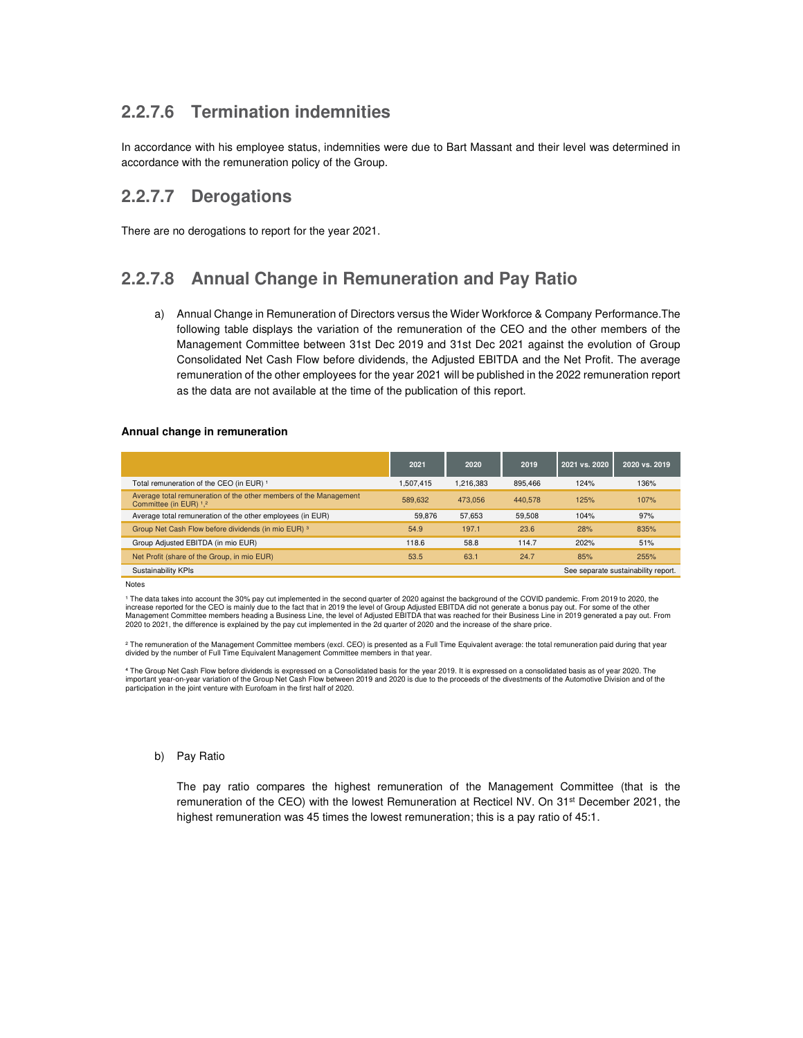## **2.2.7.6 Termination indemnities**

In accordance with his employee status, indemnities were due to Bart Massant and their level was determined in accordance with the remuneration policy of the Group.

### **2.2.7.7 Derogations**

There are no derogations to report for the year 2021.

## **2.2.7.8 Annual Change in Remuneration and Pay Ratio**

a) Annual Change in Remuneration of Directors versus the Wider Workforce & Company Performance.The following table displays the variation of the remuneration of the CEO and the other members of the Management Committee between 31st Dec 2019 and 31st Dec 2021 against the evolution of Group Consolidated Net Cash Flow before dividends, the Adjusted EBITDA and the Net Profit. The average remuneration of the other employees for the year 2021 will be published in the 2022 remuneration report as the data are not available at the time of the publication of this report.

#### **Annual change in remuneration**

|                                                                                             | 2021      | 2020      | 2019    | 2021 vs. 2020 | 2020 vs. 2019                       |
|---------------------------------------------------------------------------------------------|-----------|-----------|---------|---------------|-------------------------------------|
| Total remuneration of the CEO (in EUR) 1                                                    | 1.507.415 | 1.216.383 | 895.466 | 124%          | 136%                                |
| Average total remuneration of the other members of the Management<br>Committee (in EUR) 1,2 | 589.632   | 473.056   | 440,578 | 125%          | 107%                                |
| Average total remuneration of the other employees (in EUR)                                  | 59.876    | 57,653    | 59.508  | 104%          | 97%                                 |
| Group Net Cash Flow before dividends (in mio EUR) 3                                         | 54.9      | 197.1     | 23.6    | 28%           | 835%                                |
| Group Adjusted EBITDA (in mio EUR)                                                          | 118.6     | 58.8      | 114.7   | 202%          | 51%                                 |
| Net Profit (share of the Group, in mio EUR)                                                 | 53.5      | 63.1      | 24.7    | 85%           | 255%                                |
| Sustainability KPIs                                                                         |           |           |         |               | See separate sustainability report. |

Notes

1 The data takes into account the 30% pay cut implemented in the second quarter of 2020 against the background of the COVID pandemic. From 2019 to 2020, the increase reported for the CEO is mainly due to the fact that in 2019 the level of Group Adjusted EBITDA did not generate a bonus pay out. For some of the other<br>Management Committee members heading a Business Line, the leve 2020 to 2021, the difference is explained by the pay cut implemented in the 2d quarter of 2020 and the increase of the share price.

² The remuneration of the Management Committee members (excl. CEO) is presented as a Full Time Equivalent average: the total remuneration paid during that year divided by the number of Full Time Equivalent Management Committee members in that year.

⁴ The Group Net Cash Flow before dividends is expressed on a Consolidated basis for the year 2019. It is expressed on a consolidated basis as of year 2020. The important year-on-year variation of the Group Net Cash Flow between 2019 and 2020 is due to the proceeds of the divestments of the Automotive Division and of the participation in the joint venture with Eurofoam in the first half of 2020.

#### b) Pay Ratio

The pay ratio compares the highest remuneration of the Management Committee (that is the remuneration of the CEO) with the lowest Remuneration at Recticel NV. On 31st December 2021, the highest remuneration was 45 times the lowest remuneration; this is a pay ratio of 45:1.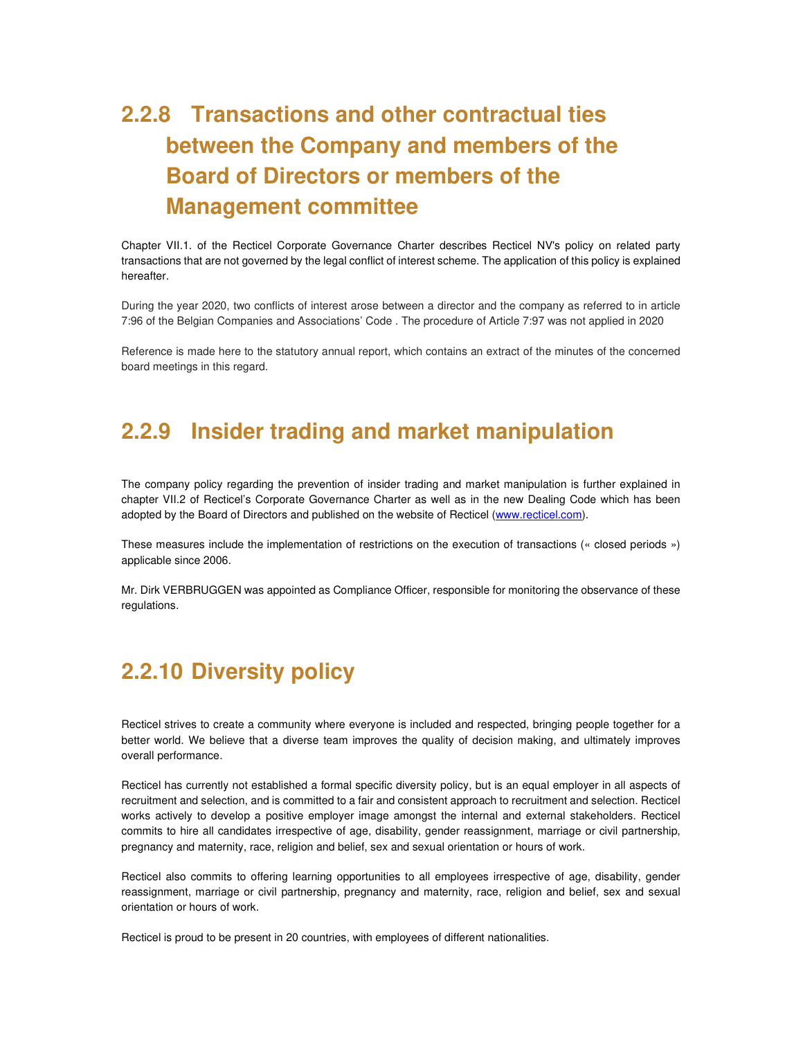# **2.2.8 Transactions and other contractual ties between the Company and members of the Board of Directors or members of the Management committee**

Chapter VII.1. of the Recticel Corporate Governance Charter describes Recticel NV's policy on related party transactions that are not governed by the legal conflict of interest scheme. The application of this policy is explained hereafter.

During the year 2020, two conflicts of interest arose between a director and the company as referred to in article 7:96 of the Belgian Companies and Associations' Code . The procedure of Article 7:97 was not applied in 2020

Reference is made here to the statutory annual report, which contains an extract of the minutes of the concerned board meetings in this regard.

## **2.2.9 Insider trading and market manipulation**

The company policy regarding the prevention of insider trading and market manipulation is further explained in chapter VII.2 of Recticel's Corporate Governance Charter as well as in the new Dealing Code which has been adopted by the Board of Directors and published on the website of Recticel (www.recticel.com).

These measures include the implementation of restrictions on the execution of transactions (« closed periods ») applicable since 2006.

Mr. Dirk VERBRUGGEN was appointed as Compliance Officer, responsible for monitoring the observance of these regulations.

## **2.2.10 Diversity policy**

Recticel strives to create a community where everyone is included and respected, bringing people together for a better world. We believe that a diverse team improves the quality of decision making, and ultimately improves overall performance.

Recticel has currently not established a formal specific diversity policy, but is an equal employer in all aspects of recruitment and selection, and is committed to a fair and consistent approach to recruitment and selection. Recticel works actively to develop a positive employer image amongst the internal and external stakeholders. Recticel commits to hire all candidates irrespective of age, disability, gender reassignment, marriage or civil partnership, pregnancy and maternity, race, religion and belief, sex and sexual orientation or hours of work.

Recticel also commits to offering learning opportunities to all employees irrespective of age, disability, gender reassignment, marriage or civil partnership, pregnancy and maternity, race, religion and belief, sex and sexual orientation or hours of work.

Recticel is proud to be present in 20 countries, with employees of different nationalities.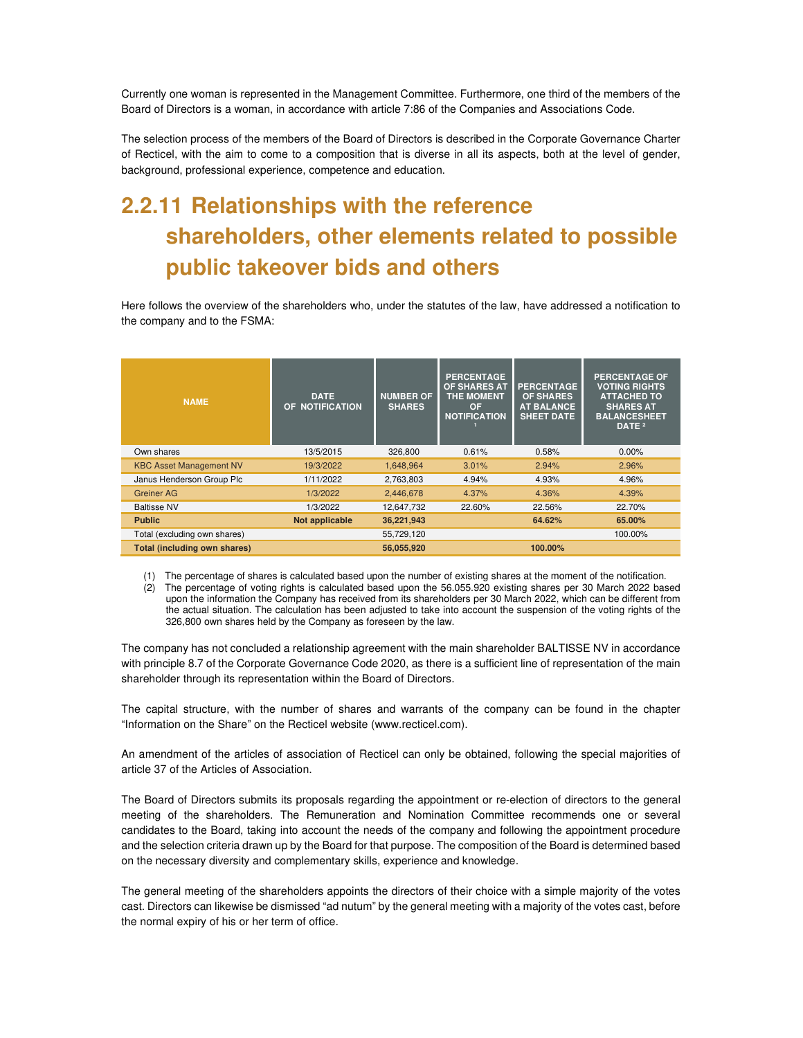Currently one woman is represented in the Management Committee. Furthermore, one third of the members of the Board of Directors is a woman, in accordance with article 7:86 of the Companies and Associations Code.

The selection process of the members of the Board of Directors is described in the Corporate Governance Charter of Recticel, with the aim to come to a composition that is diverse in all its aspects, both at the level of gender, background, professional experience, competence and education.

# **2.2.11 Relationships with the reference shareholders, other elements related to possible public takeover bids and others**

Here follows the overview of the shareholders who, under the statutes of the law, have addressed a notification to the company and to the FSMA:

| <b>NAME</b>                         | <b>DATE</b><br>OF NOTIFICATION | <b>NUMBER OF</b><br><b>SHARES</b> | <b>PERCENTAGE</b><br>OF SHARES AT<br><b>THE MOMENT</b><br><b>OF</b><br><b>NOTIFICATION</b> | <b>PERCENTAGE</b><br><b>OF SHARES</b><br><b>AT BALANCE</b><br><b>SHEET DATE</b> | <b>PERCENTAGE OF</b><br><b>VOTING RIGHTS</b><br><b>ATTACHED TO</b><br><b>SHARES AT</b><br><b>BALANCESHEET</b><br>DATE <sup>2</sup> |
|-------------------------------------|--------------------------------|-----------------------------------|--------------------------------------------------------------------------------------------|---------------------------------------------------------------------------------|------------------------------------------------------------------------------------------------------------------------------------|
| Own shares                          | 13/5/2015                      | 326,800                           | 0.61%                                                                                      | 0.58%                                                                           | $0.00\%$                                                                                                                           |
| <b>KBC Asset Management NV</b>      | 19/3/2022                      | 1,648,964                         | 3.01%                                                                                      | 2.94%                                                                           | 2.96%                                                                                                                              |
| Janus Henderson Group Plc           | 1/11/2022                      | 2,763,803                         | 4.94%                                                                                      | 4.93%                                                                           | 4.96%                                                                                                                              |
| Greiner AG                          | 1/3/2022                       | 2,446,678                         | 4.37%                                                                                      | 4.36%                                                                           | 4.39%                                                                                                                              |
| <b>Baltisse NV</b>                  | 1/3/2022                       | 12,647,732                        | 22.60%                                                                                     | 22.56%                                                                          | 22.70%                                                                                                                             |
| <b>Public</b>                       | Not applicable                 | 36,221,943                        |                                                                                            | 64.62%                                                                          | 65.00%                                                                                                                             |
| Total (excluding own shares)        |                                | 55,729,120                        |                                                                                            |                                                                                 | 100.00%                                                                                                                            |
| <b>Total (including own shares)</b> |                                | 56,055,920                        |                                                                                            | 100.00%                                                                         |                                                                                                                                    |

(1) The percentage of shares is calculated based upon the number of existing shares at the moment of the notification. (2) The percentage of voting rights is calculated based upon the 56.055.920 existing shares per 30 March 2022 based upon the information the Company has received from its shareholders per 30 March 2022, which can be different from the actual situation. The calculation has been adjusted to take into account the suspension of the voting rights of the 326,800 own shares held by the Company as foreseen by the law.

The company has not concluded a relationship agreement with the main shareholder BALTISSE NV in accordance with principle 8.7 of the Corporate Governance Code 2020, as there is a sufficient line of representation of the main shareholder through its representation within the Board of Directors.

The capital structure, with the number of shares and warrants of the company can be found in the chapter "Information on the Share" on the Recticel website (www.recticel.com).

An amendment of the articles of association of Recticel can only be obtained, following the special majorities of article 37 of the Articles of Association.

The Board of Directors submits its proposals regarding the appointment or re-election of directors to the general meeting of the shareholders. The Remuneration and Nomination Committee recommends one or several candidates to the Board, taking into account the needs of the company and following the appointment procedure and the selection criteria drawn up by the Board for that purpose. The composition of the Board is determined based on the necessary diversity and complementary skills, experience and knowledge.

The general meeting of the shareholders appoints the directors of their choice with a simple majority of the votes cast. Directors can likewise be dismissed "ad nutum" by the general meeting with a majority of the votes cast, before the normal expiry of his or her term of office.